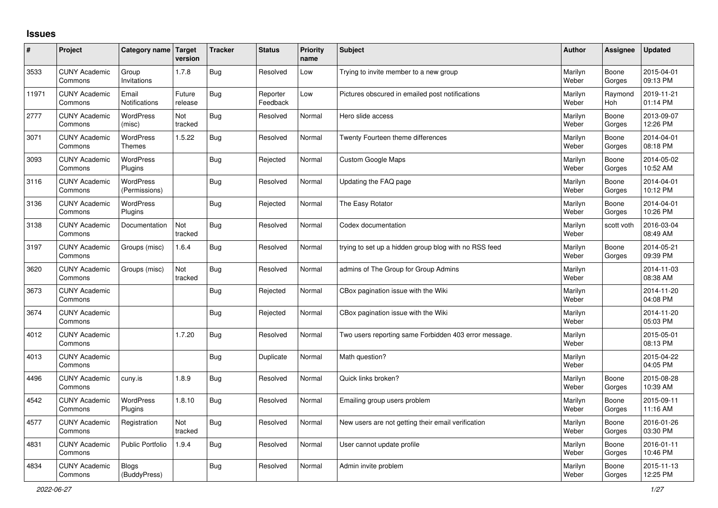## **Issues**

| #     | Project                         | Category name Target              | version           | <b>Tracker</b> | <b>Status</b>        | <b>Priority</b><br>name | Subject                                               | <b>Author</b>    | Assignee        | <b>Updated</b>         |
|-------|---------------------------------|-----------------------------------|-------------------|----------------|----------------------|-------------------------|-------------------------------------------------------|------------------|-----------------|------------------------|
| 3533  | <b>CUNY Academic</b><br>Commons | Group<br>Invitations              | 1.7.8             | Bug            | Resolved             | Low                     | Trying to invite member to a new group                | Marilyn<br>Weber | Boone<br>Gorges | 2015-04-01<br>09:13 PM |
| 11971 | <b>CUNY Academic</b><br>Commons | Email<br>Notifications            | Future<br>release | Bug            | Reporter<br>Feedback | Low                     | Pictures obscured in emailed post notifications       | Marilyn<br>Weber | Raymond<br>Hoh  | 2019-11-21<br>01:14 PM |
| 2777  | <b>CUNY Academic</b><br>Commons | <b>WordPress</b><br>(misc)        | Not<br>tracked    | Bug            | Resolved             | Normal                  | Hero slide access                                     | Marilyn<br>Weber | Boone<br>Gorges | 2013-09-07<br>12:26 PM |
| 3071  | <b>CUNY Academic</b><br>Commons | <b>WordPress</b><br>Themes        | 1.5.22            | Bug            | Resolved             | Normal                  | Twenty Fourteen theme differences                     | Marilyn<br>Weber | Boone<br>Gorges | 2014-04-01<br>08:18 PM |
| 3093  | <b>CUNY Academic</b><br>Commons | <b>WordPress</b><br>Plugins       |                   | Bug            | Rejected             | Normal                  | <b>Custom Google Maps</b>                             | Marilyn<br>Weber | Boone<br>Gorges | 2014-05-02<br>10:52 AM |
| 3116  | <b>CUNY Academic</b><br>Commons | <b>WordPress</b><br>(Permissions) |                   | Bug            | Resolved             | Normal                  | Updating the FAQ page                                 | Marilyn<br>Weber | Boone<br>Gorges | 2014-04-01<br>10:12 PM |
| 3136  | <b>CUNY Academic</b><br>Commons | <b>WordPress</b><br>Plugins       |                   | Bug            | Rejected             | Normal                  | The Easy Rotator                                      | Marilyn<br>Weber | Boone<br>Gorges | 2014-04-01<br>10:26 PM |
| 3138  | <b>CUNY Academic</b><br>Commons | Documentation                     | Not<br>tracked    | Bug            | Resolved             | Normal                  | Codex documentation                                   | Marilyn<br>Weber | scott voth      | 2016-03-04<br>08:49 AM |
| 3197  | <b>CUNY Academic</b><br>Commons | Groups (misc)                     | 1.6.4             | Bug            | Resolved             | Normal                  | trying to set up a hidden group blog with no RSS feed | Marilyn<br>Weber | Boone<br>Gorges | 2014-05-21<br>09:39 PM |
| 3620  | <b>CUNY Academic</b><br>Commons | Groups (misc)                     | Not<br>tracked    | Bug            | Resolved             | Normal                  | admins of The Group for Group Admins                  | Marilyn<br>Weber |                 | 2014-11-03<br>08:38 AM |
| 3673  | <b>CUNY Academic</b><br>Commons |                                   |                   | Bug            | Rejected             | Normal                  | CBox pagination issue with the Wiki                   | Marilyn<br>Weber |                 | 2014-11-20<br>04:08 PM |
| 3674  | <b>CUNY Academic</b><br>Commons |                                   |                   | Bug            | Rejected             | Normal                  | CBox pagination issue with the Wiki                   | Marilyn<br>Weber |                 | 2014-11-20<br>05:03 PM |
| 4012  | <b>CUNY Academic</b><br>Commons |                                   | 1.7.20            | <b>Bug</b>     | Resolved             | Normal                  | Two users reporting same Forbidden 403 error message. | Marilyn<br>Weber |                 | 2015-05-01<br>08:13 PM |
| 4013  | <b>CUNY Academic</b><br>Commons |                                   |                   | <b>Bug</b>     | Duplicate            | Normal                  | Math question?                                        | Marilyn<br>Weber |                 | 2015-04-22<br>04:05 PM |
| 4496  | <b>CUNY Academic</b><br>Commons | cuny.is                           | 1.8.9             | Bug            | Resolved             | Normal                  | Quick links broken?                                   | Marilyn<br>Weber | Boone<br>Gorges | 2015-08-28<br>10:39 AM |
| 4542  | <b>CUNY Academic</b><br>Commons | <b>WordPress</b><br>Plugins       | 1.8.10            | Bug            | Resolved             | Normal                  | Emailing group users problem                          | Marilyn<br>Weber | Boone<br>Gorges | 2015-09-11<br>11:16 AM |
| 4577  | <b>CUNY Academic</b><br>Commons | Registration                      | Not<br>tracked    | Bug            | Resolved             | Normal                  | New users are not getting their email verification    | Marilyn<br>Weber | Boone<br>Gorges | 2016-01-26<br>03:30 PM |
| 4831  | <b>CUNY Academic</b><br>Commons | <b>Public Portfolio</b>           | 1.9.4             | Bug            | Resolved             | Normal                  | User cannot update profile                            | Marilyn<br>Weber | Boone<br>Gorges | 2016-01-11<br>10:46 PM |
| 4834  | <b>CUNY Academic</b><br>Commons | <b>Blogs</b><br>(BuddyPress)      |                   | Bug            | Resolved             | Normal                  | Admin invite problem                                  | Marilyn<br>Weber | Boone<br>Gorges | 2015-11-13<br>12:25 PM |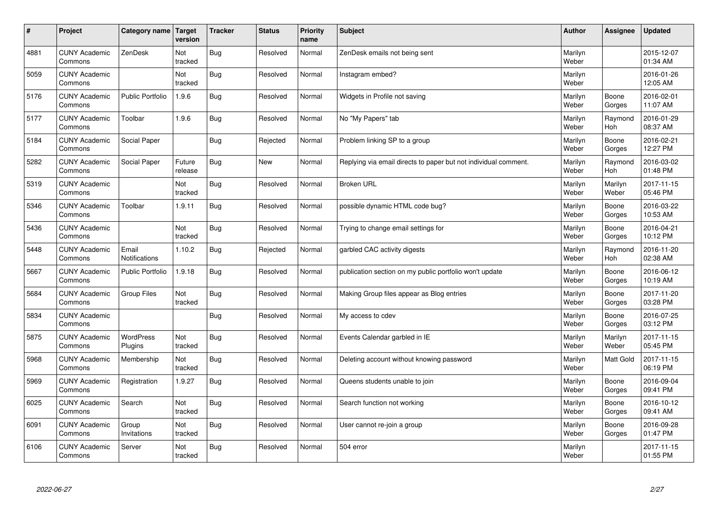| $\sharp$ | Project                         | Category name   Target        | version           | <b>Tracker</b> | <b>Status</b> | <b>Priority</b><br>name | <b>Subject</b>                                                  | <b>Author</b>    | Assignee              | <b>Updated</b>         |
|----------|---------------------------------|-------------------------------|-------------------|----------------|---------------|-------------------------|-----------------------------------------------------------------|------------------|-----------------------|------------------------|
| 4881     | <b>CUNY Academic</b><br>Commons | ZenDesk                       | Not<br>tracked    | Bug            | Resolved      | Normal                  | ZenDesk emails not being sent                                   | Marilyn<br>Weber |                       | 2015-12-07<br>01:34 AM |
| 5059     | <b>CUNY Academic</b><br>Commons |                               | Not<br>tracked    | Bug            | Resolved      | Normal                  | Instagram embed?                                                | Marilyn<br>Weber |                       | 2016-01-26<br>12:05 AM |
| 5176     | <b>CUNY Academic</b><br>Commons | <b>Public Portfolio</b>       | 1.9.6             | Bug            | Resolved      | Normal                  | Widgets in Profile not saving                                   | Marilyn<br>Weber | Boone<br>Gorges       | 2016-02-01<br>11:07 AM |
| 5177     | <b>CUNY Academic</b><br>Commons | Toolbar                       | 1.9.6             | <b>Bug</b>     | Resolved      | Normal                  | No "My Papers" tab                                              | Marilyn<br>Weber | Raymond<br><b>Hoh</b> | 2016-01-29<br>08:37 AM |
| 5184     | <b>CUNY Academic</b><br>Commons | Social Paper                  |                   | Bug            | Rejected      | Normal                  | Problem linking SP to a group                                   | Marilyn<br>Weber | Boone<br>Gorges       | 2016-02-21<br>12:27 PM |
| 5282     | <b>CUNY Academic</b><br>Commons | Social Paper                  | Future<br>release | Bug            | New           | Normal                  | Replying via email directs to paper but not individual comment. | Marilyn<br>Weber | Raymond<br><b>Hoh</b> | 2016-03-02<br>01:48 PM |
| 5319     | <b>CUNY Academic</b><br>Commons |                               | Not<br>tracked    | Bug            | Resolved      | Normal                  | <b>Broken URL</b>                                               | Marilyn<br>Weber | Marilyn<br>Weber      | 2017-11-15<br>05:46 PM |
| 5346     | <b>CUNY Academic</b><br>Commons | Toolbar                       | 1.9.11            | Bug            | Resolved      | Normal                  | possible dynamic HTML code bug?                                 | Marilyn<br>Weber | Boone<br>Gorges       | 2016-03-22<br>10:53 AM |
| 5436     | <b>CUNY Academic</b><br>Commons |                               | Not<br>tracked    | Bug            | Resolved      | Normal                  | Trying to change email settings for                             | Marilyn<br>Weber | Boone<br>Gorges       | 2016-04-21<br>10:12 PM |
| 5448     | <b>CUNY Academic</b><br>Commons | Email<br><b>Notifications</b> | 1.10.2            | Bug            | Rejected      | Normal                  | garbled CAC activity digests                                    | Marilyn<br>Weber | Raymond<br>Hoh        | 2016-11-20<br>02:38 AM |
| 5667     | <b>CUNY Academic</b><br>Commons | <b>Public Portfolio</b>       | 1.9.18            | Bug            | Resolved      | Normal                  | publication section on my public portfolio won't update         | Marilyn<br>Weber | Boone<br>Gorges       | 2016-06-12<br>10:19 AM |
| 5684     | <b>CUNY Academic</b><br>Commons | <b>Group Files</b>            | Not<br>tracked    | <b>Bug</b>     | Resolved      | Normal                  | Making Group files appear as Blog entries                       | Marilyn<br>Weber | Boone<br>Gorges       | 2017-11-20<br>03:28 PM |
| 5834     | <b>CUNY Academic</b><br>Commons |                               |                   | Bug            | Resolved      | Normal                  | My access to cdev                                               | Marilyn<br>Weber | Boone<br>Gorges       | 2016-07-25<br>03:12 PM |
| 5875     | <b>CUNY Academic</b><br>Commons | WordPress<br>Plugins          | Not<br>tracked    | Bug            | Resolved      | Normal                  | Events Calendar garbled in IE                                   | Marilyn<br>Weber | Marilyn<br>Weber      | 2017-11-15<br>05:45 PM |
| 5968     | <b>CUNY Academic</b><br>Commons | Membership                    | Not<br>tracked    | Bug            | Resolved      | Normal                  | Deleting account without knowing password                       | Marilyn<br>Weber | <b>Matt Gold</b>      | 2017-11-15<br>06:19 PM |
| 5969     | <b>CUNY Academic</b><br>Commons | Registration                  | 1.9.27            | Bug            | Resolved      | Normal                  | Queens students unable to join                                  | Marilyn<br>Weber | Boone<br>Gorges       | 2016-09-04<br>09:41 PM |
| 6025     | <b>CUNY Academic</b><br>Commons | Search                        | Not<br>tracked    | Bug            | Resolved      | Normal                  | Search function not working                                     | Marilyn<br>Weber | Boone<br>Gorges       | 2016-10-12<br>09:41 AM |
| 6091     | <b>CUNY Academic</b><br>Commons | Group<br>Invitations          | Not<br>tracked    | Bug            | Resolved      | Normal                  | User cannot re-join a group                                     | Marilyn<br>Weber | Boone<br>Gorges       | 2016-09-28<br>01:47 PM |
| 6106     | <b>CUNY Academic</b><br>Commons | Server                        | Not<br>tracked    | Bug            | Resolved      | Normal                  | 504 error                                                       | Marilyn<br>Weber |                       | 2017-11-15<br>01:55 PM |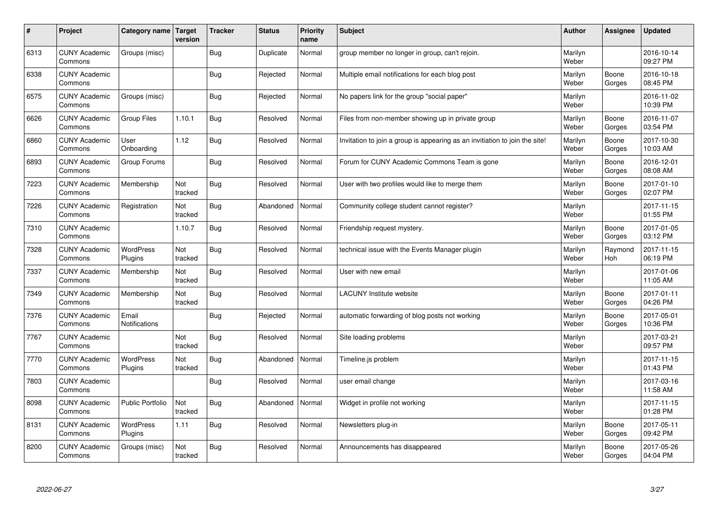| #    | Project                         | Category name   Target      | version        | <b>Tracker</b> | <b>Status</b> | <b>Priority</b><br>name | <b>Subject</b>                                                              | <b>Author</b>    | Assignee              | <b>Updated</b>         |
|------|---------------------------------|-----------------------------|----------------|----------------|---------------|-------------------------|-----------------------------------------------------------------------------|------------------|-----------------------|------------------------|
| 6313 | <b>CUNY Academic</b><br>Commons | Groups (misc)               |                | Bug            | Duplicate     | Normal                  | group member no longer in group, can't rejoin.                              | Marilyn<br>Weber |                       | 2016-10-14<br>09:27 PM |
| 6338 | <b>CUNY Academic</b><br>Commons |                             |                | Bug            | Rejected      | Normal                  | Multiple email notifications for each blog post                             | Marilyn<br>Weber | Boone<br>Gorges       | 2016-10-18<br>08:45 PM |
| 6575 | <b>CUNY Academic</b><br>Commons | Groups (misc)               |                | Bug            | Rejected      | Normal                  | No papers link for the group "social paper"                                 | Marilyn<br>Weber |                       | 2016-11-02<br>10:39 PM |
| 6626 | <b>CUNY Academic</b><br>Commons | <b>Group Files</b>          | 1.10.1         | Bug            | Resolved      | Normal                  | Files from non-member showing up in private group                           | Marilyn<br>Weber | Boone<br>Gorges       | 2016-11-07<br>03:54 PM |
| 6860 | <b>CUNY Academic</b><br>Commons | User<br>Onboarding          | 1.12           | Bug            | Resolved      | Normal                  | Invitation to join a group is appearing as an invitiation to join the site! | Marilyn<br>Weber | Boone<br>Gorges       | 2017-10-30<br>10:03 AM |
| 6893 | <b>CUNY Academic</b><br>Commons | Group Forums                |                | Bug            | Resolved      | Normal                  | Forum for CUNY Academic Commons Team is gone                                | Marilyn<br>Weber | Boone<br>Gorges       | 2016-12-01<br>08:08 AM |
| 7223 | <b>CUNY Academic</b><br>Commons | Membership                  | Not<br>tracked | Bug            | Resolved      | Normal                  | User with two profiles would like to merge them                             | Marilyn<br>Weber | Boone<br>Gorges       | 2017-01-10<br>02:07 PM |
| 7226 | <b>CUNY Academic</b><br>Commons | Registration                | Not<br>tracked | <b>Bug</b>     | Abandoned     | Normal                  | Community college student cannot register?                                  | Marilyn<br>Weber |                       | 2017-11-15<br>01:55 PM |
| 7310 | <b>CUNY Academic</b><br>Commons |                             | 1.10.7         | Bug            | Resolved      | Normal                  | Friendship request mystery.                                                 | Marilyn<br>Weber | Boone<br>Gorges       | 2017-01-05<br>03:12 PM |
| 7328 | <b>CUNY Academic</b><br>Commons | <b>WordPress</b><br>Plugins | Not<br>tracked | Bug            | Resolved      | Normal                  | technical issue with the Events Manager plugin                              | Marilyn<br>Weber | Raymond<br><b>Hoh</b> | 2017-11-15<br>06:19 PM |
| 7337 | <b>CUNY Academic</b><br>Commons | Membership                  | Not<br>tracked | Bug            | Resolved      | Normal                  | User with new email                                                         | Marilyn<br>Weber |                       | 2017-01-06<br>11:05 AM |
| 7349 | <b>CUNY Academic</b><br>Commons | Membership                  | Not<br>tracked | Bug            | Resolved      | Normal                  | <b>LACUNY Institute website</b>                                             | Marilyn<br>Weber | Boone<br>Gorges       | 2017-01-11<br>04:26 PM |
| 7376 | <b>CUNY Academic</b><br>Commons | Email<br>Notifications      |                | Bug            | Rejected      | Normal                  | automatic forwarding of blog posts not working                              | Marilyn<br>Weber | Boone<br>Gorges       | 2017-05-01<br>10:36 PM |
| 7767 | <b>CUNY Academic</b><br>Commons |                             | Not<br>tracked | Bug            | Resolved      | Normal                  | Site loading problems                                                       | Marilyn<br>Weber |                       | 2017-03-21<br>09:57 PM |
| 7770 | <b>CUNY Academic</b><br>Commons | WordPress<br>Plugins        | Not<br>tracked | Bug            | Abandoned     | Normal                  | Timeline.js problem                                                         | Marilyn<br>Weber |                       | 2017-11-15<br>01:43 PM |
| 7803 | <b>CUNY Academic</b><br>Commons |                             |                | Bug            | Resolved      | Normal                  | user email change                                                           | Marilyn<br>Weber |                       | 2017-03-16<br>11:58 AM |
| 8098 | <b>CUNY Academic</b><br>Commons | <b>Public Portfolio</b>     | Not<br>tracked | Bug            | Abandoned     | Normal                  | Widget in profile not working                                               | Marilyn<br>Weber |                       | 2017-11-15<br>01:28 PM |
| 8131 | <b>CUNY Academic</b><br>Commons | <b>WordPress</b><br>Plugins | 1.11           | <b>Bug</b>     | Resolved      | Normal                  | Newsletters plug-in                                                         | Marilyn<br>Weber | Boone<br>Gorges       | 2017-05-11<br>09:42 PM |
| 8200 | <b>CUNY Academic</b><br>Commons | Groups (misc)               | Not<br>tracked | Bug            | Resolved      | Normal                  | Announcements has disappeared                                               | Marilyn<br>Weber | Boone<br>Gorges       | 2017-05-26<br>04:04 PM |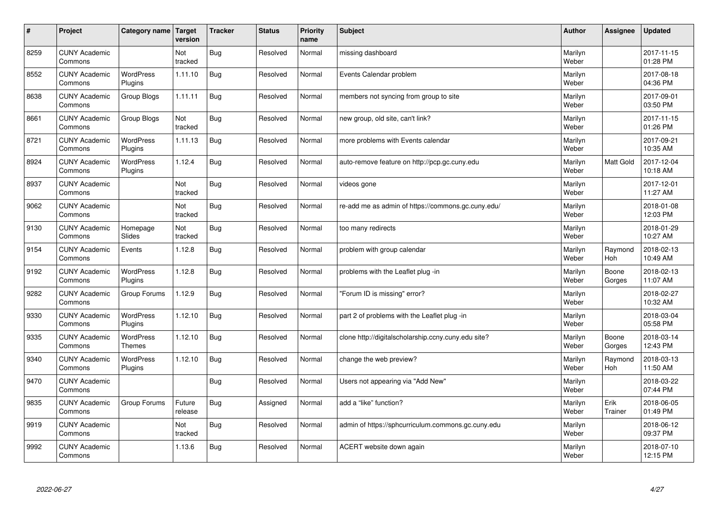| $\vert$ # | Project                         | Category name               | Target<br>version | <b>Tracker</b> | <b>Status</b> | <b>Priority</b><br>name | <b>Subject</b>                                      | <b>Author</b>    | <b>Assignee</b>       | <b>Updated</b>         |
|-----------|---------------------------------|-----------------------------|-------------------|----------------|---------------|-------------------------|-----------------------------------------------------|------------------|-----------------------|------------------------|
| 8259      | <b>CUNY Academic</b><br>Commons |                             | Not<br>tracked    | <b>Bug</b>     | Resolved      | Normal                  | missing dashboard                                   | Marilyn<br>Weber |                       | 2017-11-15<br>01:28 PM |
| 8552      | <b>CUNY Academic</b><br>Commons | WordPress<br>Plugins        | 1.11.10           | Bug            | Resolved      | Normal                  | Events Calendar problem                             | Marilyn<br>Weber |                       | 2017-08-18<br>04:36 PM |
| 8638      | <b>CUNY Academic</b><br>Commons | Group Blogs                 | 1.11.11           | <b>Bug</b>     | Resolved      | Normal                  | members not syncing from group to site              | Marilyn<br>Weber |                       | 2017-09-01<br>03:50 PM |
| 8661      | <b>CUNY Academic</b><br>Commons | Group Blogs                 | Not<br>tracked    | <b>Bug</b>     | Resolved      | Normal                  | new group, old site, can't link?                    | Marilyn<br>Weber |                       | 2017-11-15<br>01:26 PM |
| 8721      | <b>CUNY Academic</b><br>Commons | <b>WordPress</b><br>Plugins | 1.11.13           | <b>Bug</b>     | Resolved      | Normal                  | more problems with Events calendar                  | Marilyn<br>Weber |                       | 2017-09-21<br>10:35 AM |
| 8924      | <b>CUNY Academic</b><br>Commons | <b>WordPress</b><br>Plugins | 1.12.4            | Bug            | Resolved      | Normal                  | auto-remove feature on http://pcp.gc.cuny.edu       | Marilyn<br>Weber | Matt Gold             | 2017-12-04<br>10:18 AM |
| 8937      | <b>CUNY Academic</b><br>Commons |                             | Not<br>tracked    | <b>Bug</b>     | Resolved      | Normal                  | videos gone                                         | Marilyn<br>Weber |                       | 2017-12-01<br>11:27 AM |
| 9062      | <b>CUNY Academic</b><br>Commons |                             | Not<br>tracked    | <b>Bug</b>     | Resolved      | Normal                  | re-add me as admin of https://commons.gc.cuny.edu/  | Marilyn<br>Weber |                       | 2018-01-08<br>12:03 PM |
| 9130      | <b>CUNY Academic</b><br>Commons | Homepage<br>Slides          | Not<br>tracked    | <b>Bug</b>     | Resolved      | Normal                  | too many redirects                                  | Marilyn<br>Weber |                       | 2018-01-29<br>10:27 AM |
| 9154      | <b>CUNY Academic</b><br>Commons | Events                      | 1.12.8            | Bug            | Resolved      | Normal                  | problem with group calendar                         | Marilyn<br>Weber | Raymond<br>Hoh        | 2018-02-13<br>10:49 AM |
| 9192      | <b>CUNY Academic</b><br>Commons | WordPress<br>Plugins        | 1.12.8            | <b>Bug</b>     | Resolved      | Normal                  | problems with the Leaflet plug -in                  | Marilyn<br>Weber | Boone<br>Gorges       | 2018-02-13<br>11:07 AM |
| 9282      | <b>CUNY Academic</b><br>Commons | Group Forums                | 1.12.9            | <b>Bug</b>     | Resolved      | Normal                  | 'Forum ID is missing" error?                        | Marilyn<br>Weber |                       | 2018-02-27<br>10:32 AM |
| 9330      | <b>CUNY Academic</b><br>Commons | WordPress<br>Plugins        | 1.12.10           | <b>Bug</b>     | Resolved      | Normal                  | part 2 of problems with the Leaflet plug -in        | Marilyn<br>Weber |                       | 2018-03-04<br>05:58 PM |
| 9335      | <b>CUNY Academic</b><br>Commons | WordPress<br><b>Themes</b>  | 1.12.10           | <b>Bug</b>     | Resolved      | Normal                  | clone http://digitalscholarship.ccny.cuny.edu site? | Marilyn<br>Weber | Boone<br>Gorges       | 2018-03-14<br>12:43 PM |
| 9340      | <b>CUNY Academic</b><br>Commons | <b>WordPress</b><br>Plugins | 1.12.10           | Bug            | Resolved      | Normal                  | change the web preview?                             | Marilyn<br>Weber | Raymond<br><b>Hoh</b> | 2018-03-13<br>11:50 AM |
| 9470      | <b>CUNY Academic</b><br>Commons |                             |                   | <b>Bug</b>     | Resolved      | Normal                  | Users not appearing via "Add New"                   | Marilyn<br>Weber |                       | 2018-03-22<br>07:44 PM |
| 9835      | <b>CUNY Academic</b><br>Commons | Group Forums                | Future<br>release | Bug            | Assigned      | Normal                  | add a "like" function?                              | Marilyn<br>Weber | Erik<br>Trainer       | 2018-06-05<br>01:49 PM |
| 9919      | <b>CUNY Academic</b><br>Commons |                             | Not<br>tracked    | <b>Bug</b>     | Resolved      | Normal                  | admin of https://sphcurriculum.commons.gc.cuny.edu  | Marilyn<br>Weber |                       | 2018-06-12<br>09:37 PM |
| 9992      | <b>CUNY Academic</b><br>Commons |                             | 1.13.6            | Bug            | Resolved      | Normal                  | ACERT website down again                            | Marilyn<br>Weber |                       | 2018-07-10<br>12:15 PM |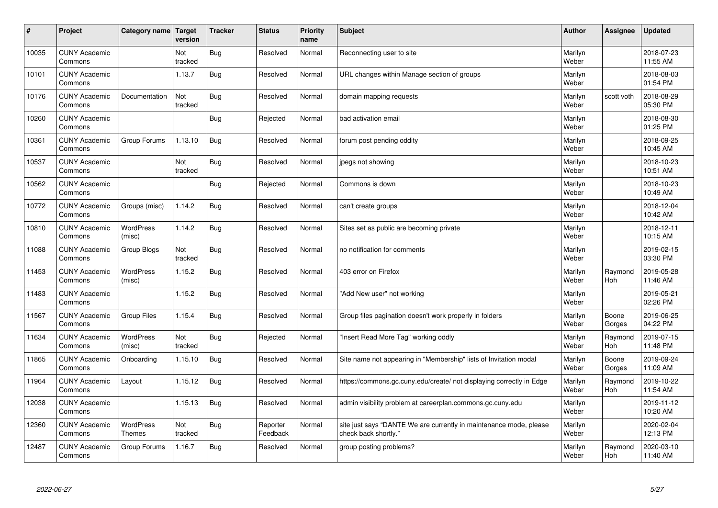| $\sharp$ | Project                         | Category name   Target            | version        | <b>Tracker</b> | <b>Status</b>        | <b>Priority</b><br>name | <b>Subject</b>                                                                             | <b>Author</b>    | Assignee              | <b>Updated</b>         |
|----------|---------------------------------|-----------------------------------|----------------|----------------|----------------------|-------------------------|--------------------------------------------------------------------------------------------|------------------|-----------------------|------------------------|
| 10035    | <b>CUNY Academic</b><br>Commons |                                   | Not<br>tracked | <b>Bug</b>     | Resolved             | Normal                  | Reconnecting user to site                                                                  | Marilyn<br>Weber |                       | 2018-07-23<br>11:55 AM |
| 10101    | <b>CUNY Academic</b><br>Commons |                                   | 1.13.7         | Bug            | Resolved             | Normal                  | URL changes within Manage section of groups                                                | Marilyn<br>Weber |                       | 2018-08-03<br>01:54 PM |
| 10176    | <b>CUNY Academic</b><br>Commons | Documentation                     | Not<br>tracked | <b>Bug</b>     | Resolved             | Normal                  | domain mapping requests                                                                    | Marilyn<br>Weber | scott voth            | 2018-08-29<br>05:30 PM |
| 10260    | <b>CUNY Academic</b><br>Commons |                                   |                | <b>Bug</b>     | Rejected             | Normal                  | bad activation email                                                                       | Marilyn<br>Weber |                       | 2018-08-30<br>01:25 PM |
| 10361    | <b>CUNY Academic</b><br>Commons | Group Forums                      | 1.13.10        | Bug            | Resolved             | Normal                  | forum post pending oddity                                                                  | Marilyn<br>Weber |                       | 2018-09-25<br>10:45 AM |
| 10537    | <b>CUNY Academic</b><br>Commons |                                   | Not<br>tracked | Bug            | Resolved             | Normal                  | jpegs not showing                                                                          | Marilyn<br>Weber |                       | 2018-10-23<br>10:51 AM |
| 10562    | <b>CUNY Academic</b><br>Commons |                                   |                | <b>Bug</b>     | Rejected             | Normal                  | Commons is down                                                                            | Marilyn<br>Weber |                       | 2018-10-23<br>10:49 AM |
| 10772    | <b>CUNY Academic</b><br>Commons | Groups (misc)                     | 1.14.2         | <b>Bug</b>     | Resolved             | Normal                  | can't create groups                                                                        | Marilyn<br>Weber |                       | 2018-12-04<br>10:42 AM |
| 10810    | <b>CUNY Academic</b><br>Commons | WordPress<br>(misc)               | 1.14.2         | Bug            | Resolved             | Normal                  | Sites set as public are becoming private                                                   | Marilyn<br>Weber |                       | 2018-12-11<br>10:15 AM |
| 11088    | <b>CUNY Academic</b><br>Commons | Group Blogs                       | Not<br>tracked | Bug            | Resolved             | Normal                  | no notification for comments                                                               | Marilyn<br>Weber |                       | 2019-02-15<br>03:30 PM |
| 11453    | <b>CUNY Academic</b><br>Commons | <b>WordPress</b><br>(misc)        | 1.15.2         | Bug            | Resolved             | Normal                  | 403 error on Firefox                                                                       | Marilyn<br>Weber | Raymond<br>Hoh        | 2019-05-28<br>11:46 AM |
| 11483    | <b>CUNY Academic</b><br>Commons |                                   | 1.15.2         | Bug            | Resolved             | Normal                  | "Add New user" not working                                                                 | Marilyn<br>Weber |                       | 2019-05-21<br>02:26 PM |
| 11567    | <b>CUNY Academic</b><br>Commons | Group Files                       | 1.15.4         | Bug            | Resolved             | Normal                  | Group files pagination doesn't work properly in folders                                    | Marilyn<br>Weber | Boone<br>Gorges       | 2019-06-25<br>04:22 PM |
| 11634    | <b>CUNY Academic</b><br>Commons | WordPress<br>(misc)               | Not<br>tracked | Bug            | Rejected             | Normal                  | "Insert Read More Tag" working oddly                                                       | Marilyn<br>Weber | Raymond<br><b>Hoh</b> | 2019-07-15<br>11:48 PM |
| 11865    | <b>CUNY Academic</b><br>Commons | Onboarding                        | 1.15.10        | Bug            | Resolved             | Normal                  | Site name not appearing in "Membership" lists of Invitation modal                          | Marilyn<br>Weber | Boone<br>Gorges       | 2019-09-24<br>11:09 AM |
| 11964    | <b>CUNY Academic</b><br>Commons | Layout                            | 1.15.12        | Bug            | Resolved             | Normal                  | https://commons.gc.cuny.edu/create/ not displaying correctly in Edge                       | Marilyn<br>Weber | Raymond<br><b>Hoh</b> | 2019-10-22<br>11:54 AM |
| 12038    | <b>CUNY Academic</b><br>Commons |                                   | 1.15.13        | Bug            | Resolved             | Normal                  | admin visibility problem at careerplan.commons.gc.cuny.edu                                 | Marilyn<br>Weber |                       | 2019-11-12<br>10:20 AM |
| 12360    | <b>CUNY Academic</b><br>Commons | <b>WordPress</b><br><b>Themes</b> | Not<br>tracked | Bug            | Reporter<br>Feedback | Normal                  | site just says "DANTE We are currently in maintenance mode, please<br>check back shortly." | Marilyn<br>Weber |                       | 2020-02-04<br>12:13 PM |
| 12487    | <b>CUNY Academic</b><br>Commons | Group Forums                      | 1.16.7         | Bug            | Resolved             | Normal                  | group posting problems?                                                                    | Marilyn<br>Weber | Raymond<br>Hoh        | 2020-03-10<br>11:40 AM |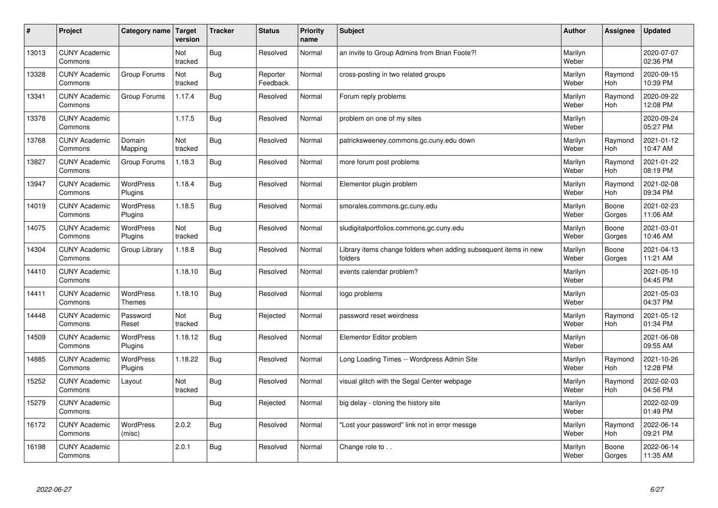| $\sharp$ | Project                         | Category name   Target            | version        | <b>Tracker</b> | <b>Status</b>        | <b>Priority</b><br>name | <b>Subject</b>                                                              | <b>Author</b>    | Assignee              | <b>Updated</b>         |
|----------|---------------------------------|-----------------------------------|----------------|----------------|----------------------|-------------------------|-----------------------------------------------------------------------------|------------------|-----------------------|------------------------|
| 13013    | <b>CUNY Academic</b><br>Commons |                                   | Not<br>tracked | Bug            | Resolved             | Normal                  | an invite to Group Admins from Brian Foote?!                                | Marilyn<br>Weber |                       | 2020-07-07<br>02:36 PM |
| 13328    | <b>CUNY Academic</b><br>Commons | Group Forums                      | Not<br>tracked | Bug            | Reporter<br>Feedback | Normal                  | cross-posting in two related groups                                         | Marilyn<br>Weber | Raymond<br><b>Hoh</b> | 2020-09-15<br>10:39 PM |
| 13341    | <b>CUNY Academic</b><br>Commons | Group Forums                      | 1.17.4         | Bug            | Resolved             | Normal                  | Forum reply problems                                                        | Marilyn<br>Weber | Raymond<br>Hoh        | 2020-09-22<br>12:08 PM |
| 13378    | <b>CUNY Academic</b><br>Commons |                                   | 1.17.5         | Bug            | Resolved             | Normal                  | problem on one of my sites                                                  | Marilyn<br>Weber |                       | 2020-09-24<br>05:27 PM |
| 13768    | <b>CUNY Academic</b><br>Commons | Domain<br>Mapping                 | Not<br>tracked | Bug            | Resolved             | Normal                  | patricksweeney.commons.gc.cuny.edu down                                     | Marilyn<br>Weber | Raymond<br>Hoh        | 2021-01-12<br>10:47 AM |
| 13827    | <b>CUNY Academic</b><br>Commons | Group Forums                      | 1.18.3         | Bug            | Resolved             | Normal                  | more forum post problems                                                    | Marilyn<br>Weber | Raymond<br>Hoh        | 2021-01-22<br>08:19 PM |
| 13947    | <b>CUNY Academic</b><br>Commons | <b>WordPress</b><br>Plugins       | 1.18.4         | Bug            | Resolved             | Normal                  | Elementor plugin problem                                                    | Marilyn<br>Weber | Raymond<br>Hoh        | 2021-02-08<br>09:34 PM |
| 14019    | <b>CUNY Academic</b><br>Commons | WordPress<br>Plugins              | 1.18.5         | Bug            | Resolved             | Normal                  | smorales.commons.gc.cuny.edu                                                | Marilyn<br>Weber | Boone<br>Gorges       | 2021-02-23<br>11:06 AM |
| 14075    | <b>CUNY Academic</b><br>Commons | WordPress<br>Plugins              | Not<br>tracked | Bug            | Resolved             | Normal                  | sludigitalportfolios.commons.gc.cuny.edu                                    | Marilyn<br>Weber | Boone<br>Gorges       | 2021-03-01<br>10:46 AM |
| 14304    | <b>CUNY Academic</b><br>Commons | Group Library                     | 1.18.8         | Bug            | Resolved             | Normal                  | Library items change folders when adding subsequent items in new<br>folders | Marilyn<br>Weber | Boone<br>Gorges       | 2021-04-13<br>11:21 AM |
| 14410    | <b>CUNY Academic</b><br>Commons |                                   | 1.18.10        | Bug            | Resolved             | Normal                  | events calendar problem?                                                    | Marilyn<br>Weber |                       | 2021-05-10<br>04:45 PM |
| 14411    | <b>CUNY Academic</b><br>Commons | <b>WordPress</b><br><b>Themes</b> | 1.18.10        | Bug            | Resolved             | Normal                  | logo problems                                                               | Marilyn<br>Weber |                       | 2021-05-03<br>04:37 PM |
| 14448    | <b>CUNY Academic</b><br>Commons | Password<br>Reset                 | Not<br>tracked | Bug            | Rejected             | Normal                  | password reset weirdness                                                    | Marilyn<br>Weber | Raymond<br>Hoh        | 2021-05-12<br>01:34 PM |
| 14509    | <b>CUNY Academic</b><br>Commons | WordPress<br>Plugins              | 1.18.12        | Bug            | Resolved             | Normal                  | Elementor Editor problem                                                    | Marilyn<br>Weber |                       | 2021-06-08<br>09:55 AM |
| 14885    | <b>CUNY Academic</b><br>Commons | WordPress<br>Plugins              | 1.18.22        | Bug            | Resolved             | Normal                  | Long Loading Times -- Wordpress Admin Site                                  | Marilyn<br>Weber | Raymond<br><b>Hoh</b> | 2021-10-26<br>12:28 PM |
| 15252    | <b>CUNY Academic</b><br>Commons | Layout                            | Not<br>tracked | <b>Bug</b>     | Resolved             | Normal                  | visual glitch with the Segal Center webpage                                 | Marilyn<br>Weber | Raymond<br><b>Hoh</b> | 2022-02-03<br>04:56 PM |
| 15279    | <b>CUNY Academic</b><br>Commons |                                   |                | Bug            | Rejected             | Normal                  | big delay - cloning the history site                                        | Marilyn<br>Weber |                       | 2022-02-09<br>01:49 PM |
| 16172    | <b>CUNY Academic</b><br>Commons | <b>WordPress</b><br>(misc)        | 2.0.2          | <b>Bug</b>     | Resolved             | Normal                  | 'Lost your password" link not in error messge                               | Marilyn<br>Weber | Raymond<br>Hoh        | 2022-06-14<br>09:21 PM |
| 16198    | <b>CUNY Academic</b><br>Commons |                                   | 2.0.1          | Bug            | Resolved             | Normal                  | Change role to                                                              | Marilyn<br>Weber | Boone<br>Gorges       | 2022-06-14<br>11:35 AM |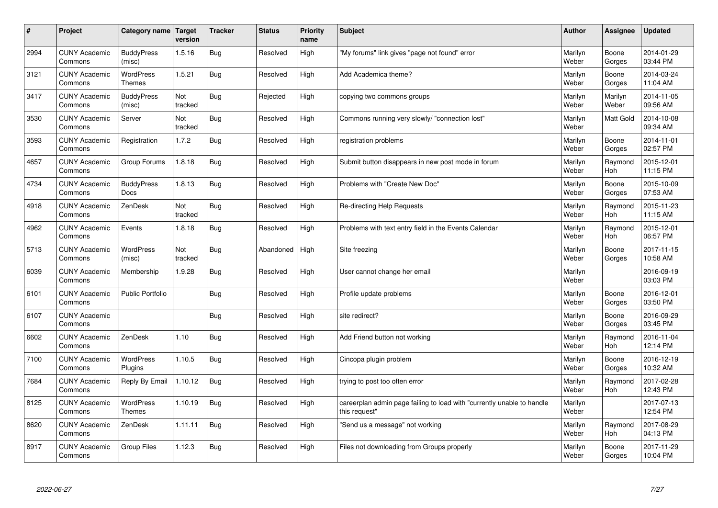| #    | Project                         | Category name   Target            | version        | <b>Tracker</b> | <b>Status</b> | Priority<br>name | <b>Subject</b>                                                                          | <b>Author</b>    | <b>Assignee</b>       | <b>Updated</b>         |
|------|---------------------------------|-----------------------------------|----------------|----------------|---------------|------------------|-----------------------------------------------------------------------------------------|------------------|-----------------------|------------------------|
| 2994 | <b>CUNY Academic</b><br>Commons | <b>BuddyPress</b><br>(misc)       | 1.5.16         | Bug            | Resolved      | High             | "My forums" link gives "page not found" error                                           | Marilyn<br>Weber | Boone<br>Gorges       | 2014-01-29<br>03:44 PM |
| 3121 | <b>CUNY Academic</b><br>Commons | <b>WordPress</b><br><b>Themes</b> | 1.5.21         | <b>Bug</b>     | Resolved      | High             | Add Academica theme?                                                                    | Marilyn<br>Weber | Boone<br>Gorges       | 2014-03-24<br>11:04 AM |
| 3417 | <b>CUNY Academic</b><br>Commons | <b>BuddyPress</b><br>(misc)       | Not<br>tracked | Bug            | Rejected      | High             | copying two commons groups                                                              | Marilyn<br>Weber | Marilyn<br>Weber      | 2014-11-05<br>09:56 AM |
| 3530 | <b>CUNY Academic</b><br>Commons | Server                            | Not<br>tracked | Bug            | Resolved      | High             | Commons running very slowly/ "connection lost"                                          | Marilyn<br>Weber | <b>Matt Gold</b>      | 2014-10-08<br>09:34 AM |
| 3593 | <b>CUNY Academic</b><br>Commons | Registration                      | 1.7.2          | Bug            | Resolved      | High             | registration problems                                                                   | Marilyn<br>Weber | Boone<br>Gorges       | 2014-11-01<br>02:57 PM |
| 4657 | <b>CUNY Academic</b><br>Commons | Group Forums                      | 1.8.18         | Bug            | Resolved      | High             | Submit button disappears in new post mode in forum                                      | Marilyn<br>Weber | Raymond<br>Hoh        | 2015-12-01<br>11:15 PM |
| 4734 | <b>CUNY Academic</b><br>Commons | <b>BuddyPress</b><br><b>Docs</b>  | 1.8.13         | Bug            | Resolved      | High             | Problems with "Create New Doc"                                                          | Marilyn<br>Weber | Boone<br>Gorges       | 2015-10-09<br>07:53 AM |
| 4918 | <b>CUNY Academic</b><br>Commons | ZenDesk                           | Not<br>tracked | Bug            | Resolved      | High             | Re-directing Help Requests                                                              | Marilyn<br>Weber | Raymond<br>Hoh        | 2015-11-23<br>11:15 AM |
| 4962 | <b>CUNY Academic</b><br>Commons | Events                            | 1.8.18         | Bug            | Resolved      | High             | Problems with text entry field in the Events Calendar                                   | Marilyn<br>Weber | Raymond<br>Hoh        | 2015-12-01<br>06:57 PM |
| 5713 | <b>CUNY Academic</b><br>Commons | <b>WordPress</b><br>(misc)        | Not<br>tracked | <b>Bug</b>     | Abandoned     | High             | Site freezing                                                                           | Marilyn<br>Weber | Boone<br>Gorges       | 2017-11-15<br>10:58 AM |
| 6039 | <b>CUNY Academic</b><br>Commons | Membership                        | 1.9.28         | Bug            | Resolved      | High             | User cannot change her email                                                            | Marilyn<br>Weber |                       | 2016-09-19<br>03:03 PM |
| 6101 | <b>CUNY Academic</b><br>Commons | <b>Public Portfolio</b>           |                | Bug            | Resolved      | High             | Profile update problems                                                                 | Marilyn<br>Weber | Boone<br>Gorges       | 2016-12-01<br>03:50 PM |
| 6107 | <b>CUNY Academic</b><br>Commons |                                   |                | <b>Bug</b>     | Resolved      | High             | site redirect?                                                                          | Marilyn<br>Weber | Boone<br>Gorges       | 2016-09-29<br>03:45 PM |
| 6602 | <b>CUNY Academic</b><br>Commons | ZenDesk                           | 1.10           | Bug            | Resolved      | High             | Add Friend button not working                                                           | Marilyn<br>Weber | Raymond<br>Hoh        | 2016-11-04<br>12:14 PM |
| 7100 | <b>CUNY Academic</b><br>Commons | <b>WordPress</b><br>Plugins       | 1.10.5         | Bug            | Resolved      | High             | Cincopa plugin problem                                                                  | Marilyn<br>Weber | Boone<br>Gorges       | 2016-12-19<br>10:32 AM |
| 7684 | <b>CUNY Academic</b><br>Commons | Reply By Email                    | 1.10.12        | <b>Bug</b>     | Resolved      | High             | trying to post too often error                                                          | Marilyn<br>Weber | Raymond<br><b>Hoh</b> | 2017-02-28<br>12:43 PM |
| 8125 | <b>CUNY Academic</b><br>Commons | WordPress<br>Themes               | 1.10.19        | Bug            | Resolved      | High             | careerplan admin page failing to load with "currently unable to handle<br>this request" | Marilyn<br>Weber |                       | 2017-07-13<br>12:54 PM |
| 8620 | <b>CUNY Academic</b><br>Commons | ZenDesk                           | 1.11.11        | Bug            | Resolved      | High             | 'Send us a message" not working                                                         | Marilyn<br>Weber | Raymond<br>Hoh        | 2017-08-29<br>04:13 PM |
| 8917 | <b>CUNY Academic</b><br>Commons | Group Files                       | 1.12.3         | Bug            | Resolved      | High             | Files not downloading from Groups properly                                              | Marilyn<br>Weber | Boone<br>Gorges       | 2017-11-29<br>10:04 PM |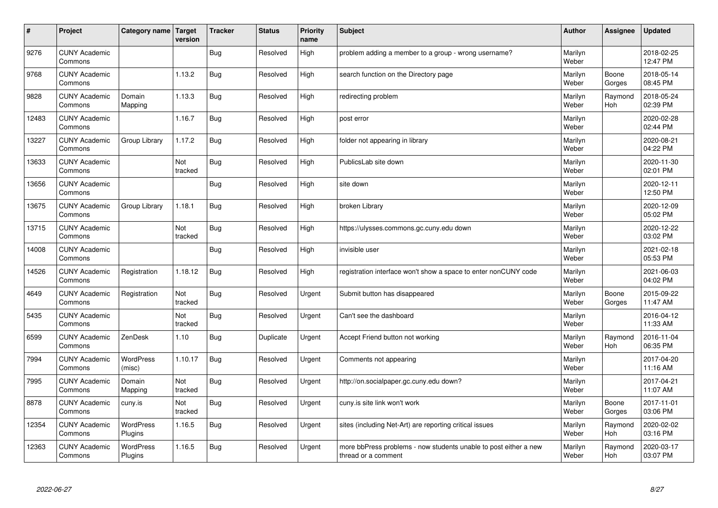| #     | Project                         | Category name   Target      | version        | <b>Tracker</b> | <b>Status</b> | <b>Priority</b><br>name | <b>Subject</b>                                                                          | <b>Author</b>    | Assignee              | <b>Updated</b>         |
|-------|---------------------------------|-----------------------------|----------------|----------------|---------------|-------------------------|-----------------------------------------------------------------------------------------|------------------|-----------------------|------------------------|
| 9276  | <b>CUNY Academic</b><br>Commons |                             |                | Bug            | Resolved      | High                    | problem adding a member to a group - wrong username?                                    | Marilyn<br>Weber |                       | 2018-02-25<br>12:47 PM |
| 9768  | <b>CUNY Academic</b><br>Commons |                             | 1.13.2         | Bug            | Resolved      | High                    | search function on the Directory page                                                   | Marilyn<br>Weber | Boone<br>Gorges       | 2018-05-14<br>08:45 PM |
| 9828  | <b>CUNY Academic</b><br>Commons | Domain<br>Mapping           | 1.13.3         | <b>Bug</b>     | Resolved      | High                    | redirecting problem                                                                     | Marilyn<br>Weber | Raymond<br>Hoh        | 2018-05-24<br>02:39 PM |
| 12483 | <b>CUNY Academic</b><br>Commons |                             | 1.16.7         | <b>Bug</b>     | Resolved      | High                    | post error                                                                              | Marilyn<br>Weber |                       | 2020-02-28<br>02:44 PM |
| 13227 | <b>CUNY Academic</b><br>Commons | Group Library               | 1.17.2         | <b>Bug</b>     | Resolved      | High                    | folder not appearing in library                                                         | Marilyn<br>Weber |                       | 2020-08-21<br>04:22 PM |
| 13633 | <b>CUNY Academic</b><br>Commons |                             | Not<br>tracked | <b>Bug</b>     | Resolved      | High                    | PublicsLab site down                                                                    | Marilyn<br>Weber |                       | 2020-11-30<br>02:01 PM |
| 13656 | <b>CUNY Academic</b><br>Commons |                             |                | Bug            | Resolved      | High                    | site down                                                                               | Marilyn<br>Weber |                       | 2020-12-11<br>12:50 PM |
| 13675 | <b>CUNY Academic</b><br>Commons | Group Library               | 1.18.1         | <b>Bug</b>     | Resolved      | High                    | broken Library                                                                          | Marilyn<br>Weber |                       | 2020-12-09<br>05:02 PM |
| 13715 | <b>CUNY Academic</b><br>Commons |                             | Not<br>tracked | Bug            | Resolved      | High                    | https://ulysses.commons.gc.cuny.edu down                                                | Marilyn<br>Weber |                       | 2020-12-22<br>03:02 PM |
| 14008 | <b>CUNY Academic</b><br>Commons |                             |                | Bug            | Resolved      | High                    | invisible user                                                                          | Marilyn<br>Weber |                       | 2021-02-18<br>05:53 PM |
| 14526 | <b>CUNY Academic</b><br>Commons | Registration                | 1.18.12        | <b>Bug</b>     | Resolved      | High                    | registration interface won't show a space to enter nonCUNY code                         | Marilyn<br>Weber |                       | 2021-06-03<br>04:02 PM |
| 4649  | <b>CUNY Academic</b><br>Commons | Registration                | Not<br>tracked | <b>Bug</b>     | Resolved      | Urgent                  | Submit button has disappeared                                                           | Marilyn<br>Weber | Boone<br>Gorges       | 2015-09-22<br>11:47 AM |
| 5435  | <b>CUNY Academic</b><br>Commons |                             | Not<br>tracked | Bug            | Resolved      | Urgent                  | Can't see the dashboard                                                                 | Marilyn<br>Weber |                       | 2016-04-12<br>11:33 AM |
| 6599  | <b>CUNY Academic</b><br>Commons | ZenDesk                     | 1.10           | <b>Bug</b>     | Duplicate     | Urgent                  | Accept Friend button not working                                                        | Marilyn<br>Weber | Raymond<br>Hoh        | 2016-11-04<br>06:35 PM |
| 7994  | <b>CUNY Academic</b><br>Commons | WordPress<br>(misc)         | 1.10.17        | <b>Bug</b>     | Resolved      | Urgent                  | Comments not appearing                                                                  | Marilyn<br>Weber |                       | 2017-04-20<br>11:16 AM |
| 7995  | <b>CUNY Academic</b><br>Commons | Domain<br>Mapping           | Not<br>tracked | Bug            | Resolved      | Urgent                  | http://on.socialpaper.gc.cuny.edu down?                                                 | Marilyn<br>Weber |                       | 2017-04-21<br>11:07 AM |
| 8878  | <b>CUNY Academic</b><br>Commons | cuny.is                     | Not<br>tracked | <b>Bug</b>     | Resolved      | Urgent                  | cuny is site link won't work                                                            | Marilyn<br>Weber | Boone<br>Gorges       | 2017-11-01<br>03:06 PM |
| 12354 | <b>CUNY Academic</b><br>Commons | WordPress<br>Plugins        | 1.16.5         | <b>Bug</b>     | Resolved      | Urgent                  | sites (including Net-Art) are reporting critical issues                                 | Marilyn<br>Weber | Raymond<br><b>Hoh</b> | 2020-02-02<br>03:16 PM |
| 12363 | <b>CUNY Academic</b><br>Commons | <b>WordPress</b><br>Plugins | 1.16.5         | Bug            | Resolved      | Urgent                  | more bbPress problems - now students unable to post either a new<br>thread or a comment | Marilyn<br>Weber | Raymond<br>Hoh        | 2020-03-17<br>03:07 PM |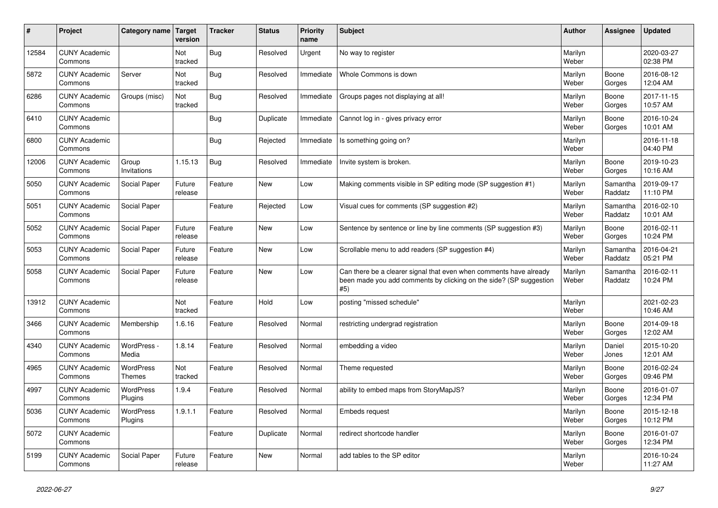| $\vert$ # | Project                         | Category name Target              | version           | <b>Tracker</b> | <b>Status</b> | <b>Priority</b><br>name | <b>Subject</b>                                                                                                                                  | <b>Author</b>    | Assignee            | <b>Updated</b>         |
|-----------|---------------------------------|-----------------------------------|-------------------|----------------|---------------|-------------------------|-------------------------------------------------------------------------------------------------------------------------------------------------|------------------|---------------------|------------------------|
| 12584     | <b>CUNY Academic</b><br>Commons |                                   | Not<br>tracked    | Bug            | Resolved      | Urgent                  | No way to register                                                                                                                              | Marilyn<br>Weber |                     | 2020-03-27<br>02:38 PM |
| 5872      | <b>CUNY Academic</b><br>Commons | Server                            | Not<br>tracked    | Bug            | Resolved      | Immediate               | Whole Commons is down                                                                                                                           | Marilyn<br>Weber | Boone<br>Gorges     | 2016-08-12<br>12:04 AM |
| 6286      | <b>CUNY Academic</b><br>Commons | Groups (misc)                     | Not<br>tracked    | Bug            | Resolved      | Immediate               | Groups pages not displaying at all!                                                                                                             | Marilyn<br>Weber | Boone<br>Gorges     | 2017-11-15<br>10:57 AM |
| 6410      | <b>CUNY Academic</b><br>Commons |                                   |                   | Bug            | Duplicate     | Immediate               | Cannot log in - gives privacy error                                                                                                             | Marilyn<br>Weber | Boone<br>Gorges     | 2016-10-24<br>10:01 AM |
| 6800      | <b>CUNY Academic</b><br>Commons |                                   |                   | Bug            | Rejected      | Immediate               | Is something going on?                                                                                                                          | Marilyn<br>Weber |                     | 2016-11-18<br>04:40 PM |
| 12006     | <b>CUNY Academic</b><br>Commons | Group<br>Invitations              | 1.15.13           | <b>Bug</b>     | Resolved      | Immediate               | Invite system is broken.                                                                                                                        | Marilyn<br>Weber | Boone<br>Gorges     | 2019-10-23<br>10:16 AM |
| 5050      | <b>CUNY Academic</b><br>Commons | Social Paper                      | Future<br>release | Feature        | <b>New</b>    | Low                     | Making comments visible in SP editing mode (SP suggestion #1)                                                                                   | Marilyn<br>Weber | Samantha<br>Raddatz | 2019-09-17<br>11:10 PM |
| 5051      | <b>CUNY Academic</b><br>Commons | Social Paper                      |                   | Feature        | Rejected      | Low                     | Visual cues for comments (SP suggestion #2)                                                                                                     | Marilyn<br>Weber | Samantha<br>Raddatz | 2016-02-10<br>10:01 AM |
| 5052      | <b>CUNY Academic</b><br>Commons | Social Paper                      | Future<br>release | Feature        | <b>New</b>    | Low                     | Sentence by sentence or line by line comments (SP suggestion #3)                                                                                | Marilyn<br>Weber | Boone<br>Gorges     | 2016-02-11<br>10:24 PM |
| 5053      | <b>CUNY Academic</b><br>Commons | Social Paper                      | Future<br>release | Feature        | <b>New</b>    | Low                     | Scrollable menu to add readers (SP suggestion #4)                                                                                               | Marilyn<br>Weber | Samantha<br>Raddatz | 2016-04-21<br>05:21 PM |
| 5058      | <b>CUNY Academic</b><br>Commons | Social Paper                      | Future<br>release | Feature        | <b>New</b>    | Low                     | Can there be a clearer signal that even when comments have already<br>been made you add comments by clicking on the side? (SP suggestion<br>#5) | Marilyn<br>Weber | Samantha<br>Raddatz | 2016-02-11<br>10:24 PM |
| 13912     | <b>CUNY Academic</b><br>Commons |                                   | Not<br>tracked    | Feature        | Hold          | Low                     | posting "missed schedule"                                                                                                                       | Marilyn<br>Weber |                     | 2021-02-23<br>10:46 AM |
| 3466      | <b>CUNY Academic</b><br>Commons | Membership                        | 1.6.16            | Feature        | Resolved      | Normal                  | restricting undergrad registration                                                                                                              | Marilyn<br>Weber | Boone<br>Gorges     | 2014-09-18<br>12:02 AM |
| 4340      | <b>CUNY Academic</b><br>Commons | WordPress -<br>Media              | 1.8.14            | Feature        | Resolved      | Normal                  | embedding a video                                                                                                                               | Marilyn<br>Weber | Daniel<br>Jones     | 2015-10-20<br>12:01 AM |
| 4965      | <b>CUNY Academic</b><br>Commons | <b>WordPress</b><br><b>Themes</b> | Not<br>tracked    | Feature        | Resolved      | Normal                  | Theme requested                                                                                                                                 | Marilyn<br>Weber | Boone<br>Gorges     | 2016-02-24<br>09:46 PM |
| 4997      | <b>CUNY Academic</b><br>Commons | <b>WordPress</b><br>Plugins       | 1.9.4             | Feature        | Resolved      | Normal                  | ability to embed maps from StoryMapJS?                                                                                                          | Marilyn<br>Weber | Boone<br>Gorges     | 2016-01-07<br>12:34 PM |
| 5036      | <b>CUNY Academic</b><br>Commons | WordPress<br>Plugins              | 1.9.1.1           | Feature        | Resolved      | Normal                  | <b>Embeds request</b>                                                                                                                           | Marilyn<br>Weber | Boone<br>Gorges     | 2015-12-18<br>10:12 PM |
| 5072      | <b>CUNY Academic</b><br>Commons |                                   |                   | Feature        | Duplicate     | Normal                  | redirect shortcode handler                                                                                                                      | Marilyn<br>Weber | Boone<br>Gorges     | 2016-01-07<br>12:34 PM |
| 5199      | <b>CUNY Academic</b><br>Commons | Social Paper                      | Future<br>release | Feature        | <b>New</b>    | Normal                  | add tables to the SP editor                                                                                                                     | Marilyn<br>Weber |                     | 2016-10-24<br>11:27 AM |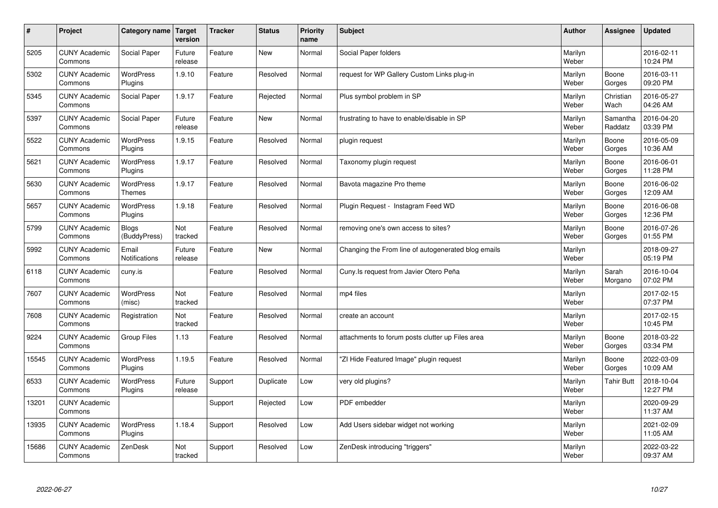| $\sharp$ | Project                         | Category name                     | Target<br>version | <b>Tracker</b> | <b>Status</b> | Priority<br>name | <b>Subject</b>                                      | <b>Author</b>    | <b>Assignee</b>     | <b>Updated</b>         |
|----------|---------------------------------|-----------------------------------|-------------------|----------------|---------------|------------------|-----------------------------------------------------|------------------|---------------------|------------------------|
| 5205     | <b>CUNY Academic</b><br>Commons | Social Paper                      | Future<br>release | Feature        | <b>New</b>    | Normal           | Social Paper folders                                | Marilyn<br>Weber |                     | 2016-02-11<br>10:24 PM |
| 5302     | <b>CUNY Academic</b><br>Commons | WordPress<br>Plugins              | 1.9.10            | Feature        | Resolved      | Normal           | request for WP Gallery Custom Links plug-in         | Marilyn<br>Weber | Boone<br>Gorges     | 2016-03-11<br>09:20 PM |
| 5345     | <b>CUNY Academic</b><br>Commons | Social Paper                      | 1.9.17            | Feature        | Rejected      | Normal           | Plus symbol problem in SP                           | Marilyn<br>Weber | Christian<br>Wach   | 2016-05-27<br>04:26 AM |
| 5397     | <b>CUNY Academic</b><br>Commons | Social Paper                      | Future<br>release | Feature        | <b>New</b>    | Normal           | frustrating to have to enable/disable in SP         | Marilyn<br>Weber | Samantha<br>Raddatz | 2016-04-20<br>03:39 PM |
| 5522     | <b>CUNY Academic</b><br>Commons | <b>WordPress</b><br>Plugins       | 1.9.15            | Feature        | Resolved      | Normal           | plugin request                                      | Marilyn<br>Weber | Boone<br>Gorges     | 2016-05-09<br>10:36 AM |
| 5621     | <b>CUNY Academic</b><br>Commons | <b>WordPress</b><br>Plugins       | 1.9.17            | Feature        | Resolved      | Normal           | Taxonomy plugin request                             | Marilyn<br>Weber | Boone<br>Gorges     | 2016-06-01<br>11:28 PM |
| 5630     | <b>CUNY Academic</b><br>Commons | <b>WordPress</b><br><b>Themes</b> | 1.9.17            | Feature        | Resolved      | Normal           | Bavota magazine Pro theme                           | Marilyn<br>Weber | Boone<br>Gorges     | 2016-06-02<br>12:09 AM |
| 5657     | <b>CUNY Academic</b><br>Commons | WordPress<br>Plugins              | 1.9.18            | Feature        | Resolved      | Normal           | Plugin Request - Instagram Feed WD                  | Marilyn<br>Weber | Boone<br>Gorges     | 2016-06-08<br>12:36 PM |
| 5799     | <b>CUNY Academic</b><br>Commons | <b>Blogs</b><br>(BuddyPress)      | Not<br>tracked    | Feature        | Resolved      | Normal           | removing one's own access to sites?                 | Marilyn<br>Weber | Boone<br>Gorges     | 2016-07-26<br>01:55 PM |
| 5992     | <b>CUNY Academic</b><br>Commons | Email<br>Notifications            | Future<br>release | Feature        | <b>New</b>    | Normal           | Changing the From line of autogenerated blog emails | Marilyn<br>Weber |                     | 2018-09-27<br>05:19 PM |
| 6118     | <b>CUNY Academic</b><br>Commons | cuny.is                           |                   | Feature        | Resolved      | Normal           | Cuny. Is request from Javier Otero Peña             | Marilyn<br>Weber | Sarah<br>Morgano    | 2016-10-04<br>07:02 PM |
| 7607     | <b>CUNY Academic</b><br>Commons | <b>WordPress</b><br>(misc)        | Not<br>tracked    | Feature        | Resolved      | Normal           | mp4 files                                           | Marilyn<br>Weber |                     | 2017-02-15<br>07:37 PM |
| 7608     | <b>CUNY Academic</b><br>Commons | Registration                      | Not<br>tracked    | Feature        | Resolved      | Normal           | create an account                                   | Marilyn<br>Weber |                     | 2017-02-15<br>10:45 PM |
| 9224     | <b>CUNY Academic</b><br>Commons | <b>Group Files</b>                | 1.13              | Feature        | Resolved      | Normal           | attachments to forum posts clutter up Files area    | Marilyn<br>Weber | Boone<br>Gorges     | 2018-03-22<br>03:34 PM |
| 15545    | <b>CUNY Academic</b><br>Commons | <b>WordPress</b><br>Plugins       | 1.19.5            | Feature        | Resolved      | Normal           | "ZI Hide Featured Image" plugin request             | Marilyn<br>Weber | Boone<br>Gorges     | 2022-03-09<br>10:09 AM |
| 6533     | <b>CUNY Academic</b><br>Commons | <b>WordPress</b><br>Plugins       | Future<br>release | Support        | Duplicate     | Low              | very old plugins?                                   | Marilyn<br>Weber | <b>Tahir Butt</b>   | 2018-10-04<br>12:27 PM |
| 13201    | <b>CUNY Academic</b><br>Commons |                                   |                   | Support        | Rejected      | Low              | PDF embedder                                        | Marilyn<br>Weber |                     | 2020-09-29<br>11:37 AM |
| 13935    | <b>CUNY Academic</b><br>Commons | <b>WordPress</b><br>Plugins       | 1.18.4            | Support        | Resolved      | Low              | Add Users sidebar widget not working                | Marilyn<br>Weber |                     | 2021-02-09<br>11:05 AM |
| 15686    | <b>CUNY Academic</b><br>Commons | ZenDesk                           | Not<br>tracked    | Support        | Resolved      | Low              | ZenDesk introducing "triggers"                      | Marilyn<br>Weber |                     | 2022-03-22<br>09:37 AM |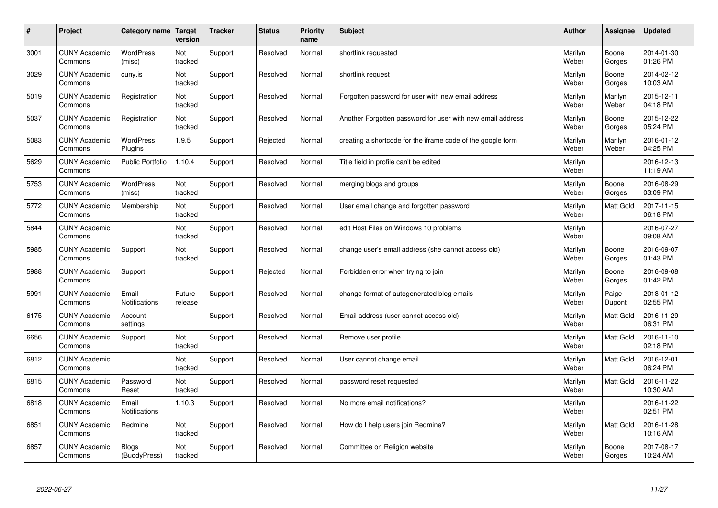| $\#$ | Project                         | Category name   Target        | version           | <b>Tracker</b> | <b>Status</b> | <b>Priority</b><br>name | <b>Subject</b>                                              | <b>Author</b>    | <b>Assignee</b>  | <b>Updated</b>         |
|------|---------------------------------|-------------------------------|-------------------|----------------|---------------|-------------------------|-------------------------------------------------------------|------------------|------------------|------------------------|
| 3001 | <b>CUNY Academic</b><br>Commons | <b>WordPress</b><br>(misc)    | Not<br>tracked    | Support        | Resolved      | Normal                  | shortlink requested                                         | Marilyn<br>Weber | Boone<br>Gorges  | 2014-01-30<br>01:26 PM |
| 3029 | <b>CUNY Academic</b><br>Commons | cuny.is                       | Not<br>tracked    | Support        | Resolved      | Normal                  | shortlink request                                           | Marilyn<br>Weber | Boone<br>Gorges  | 2014-02-12<br>10:03 AM |
| 5019 | <b>CUNY Academic</b><br>Commons | Registration                  | Not<br>tracked    | Support        | Resolved      | Normal                  | Forgotten password for user with new email address          | Marilyn<br>Weber | Marilyn<br>Weber | 2015-12-11<br>04:18 PM |
| 5037 | <b>CUNY Academic</b><br>Commons | Registration                  | Not<br>tracked    | Support        | Resolved      | Normal                  | Another Forgotten password for user with new email address  | Marilyn<br>Weber | Boone<br>Gorges  | 2015-12-22<br>05:24 PM |
| 5083 | <b>CUNY Academic</b><br>Commons | <b>WordPress</b><br>Plugins   | 1.9.5             | Support        | Rejected      | Normal                  | creating a shortcode for the iframe code of the google form | Marilyn<br>Weber | Marilyn<br>Weber | 2016-01-12<br>04:25 PM |
| 5629 | <b>CUNY Academic</b><br>Commons | <b>Public Portfolio</b>       | 1.10.4            | Support        | Resolved      | Normal                  | Title field in profile can't be edited                      | Marilyn<br>Weber |                  | 2016-12-13<br>11:19 AM |
| 5753 | <b>CUNY Academic</b><br>Commons | <b>WordPress</b><br>(misc)    | Not<br>tracked    | Support        | Resolved      | Normal                  | merging blogs and groups                                    | Marilyn<br>Weber | Boone<br>Gorges  | 2016-08-29<br>03:09 PM |
| 5772 | <b>CUNY Academic</b><br>Commons | Membership                    | Not<br>tracked    | Support        | Resolved      | Normal                  | User email change and forgotten password                    | Marilyn<br>Weber | Matt Gold        | 2017-11-15<br>06:18 PM |
| 5844 | <b>CUNY Academic</b><br>Commons |                               | Not<br>tracked    | Support        | Resolved      | Normal                  | edit Host Files on Windows 10 problems                      | Marilyn<br>Weber |                  | 2016-07-27<br>09:08 AM |
| 5985 | <b>CUNY Academic</b><br>Commons | Support                       | Not<br>tracked    | Support        | Resolved      | Normal                  | change user's email address (she cannot access old)         | Marilyn<br>Weber | Boone<br>Gorges  | 2016-09-07<br>01:43 PM |
| 5988 | <b>CUNY Academic</b><br>Commons | Support                       |                   | Support        | Rejected      | Normal                  | Forbidden error when trying to join                         | Marilyn<br>Weber | Boone<br>Gorges  | 2016-09-08<br>01:42 PM |
| 5991 | <b>CUNY Academic</b><br>Commons | Email<br><b>Notifications</b> | Future<br>release | Support        | Resolved      | Normal                  | change format of autogenerated blog emails                  | Marilyn<br>Weber | Paige<br>Dupont  | 2018-01-12<br>02:55 PM |
| 6175 | <b>CUNY Academic</b><br>Commons | Account<br>settings           |                   | Support        | Resolved      | Normal                  | Email address (user cannot access old)                      | Marilyn<br>Weber | <b>Matt Gold</b> | 2016-11-29<br>06:31 PM |
| 6656 | <b>CUNY Academic</b><br>Commons | Support                       | Not<br>tracked    | Support        | Resolved      | Normal                  | Remove user profile                                         | Marilyn<br>Weber | Matt Gold        | 2016-11-10<br>02:18 PM |
| 6812 | <b>CUNY Academic</b><br>Commons |                               | Not<br>tracked    | Support        | Resolved      | Normal                  | User cannot change email                                    | Marilyn<br>Weber | Matt Gold        | 2016-12-01<br>06:24 PM |
| 6815 | <b>CUNY Academic</b><br>Commons | Password<br>Reset             | Not<br>tracked    | Support        | Resolved      | Normal                  | password reset requested                                    | Marilyn<br>Weber | <b>Matt Gold</b> | 2016-11-22<br>10:30 AM |
| 6818 | <b>CUNY Academic</b><br>Commons | Email<br>Notifications        | 1.10.3            | Support        | Resolved      | Normal                  | No more email notifications?                                | Marilyn<br>Weber |                  | 2016-11-22<br>02:51 PM |
| 6851 | <b>CUNY Academic</b><br>Commons | Redmine                       | Not<br>tracked    | Support        | Resolved      | Normal                  | How do I help users join Redmine?                           | Marilyn<br>Weber | Matt Gold        | 2016-11-28<br>10:16 AM |
| 6857 | <b>CUNY Academic</b><br>Commons | Blogs<br>(BuddyPress)         | Not<br>tracked    | Support        | Resolved      | Normal                  | Committee on Religion website                               | Marilyn<br>Weber | Boone<br>Gorges  | 2017-08-17<br>10:24 AM |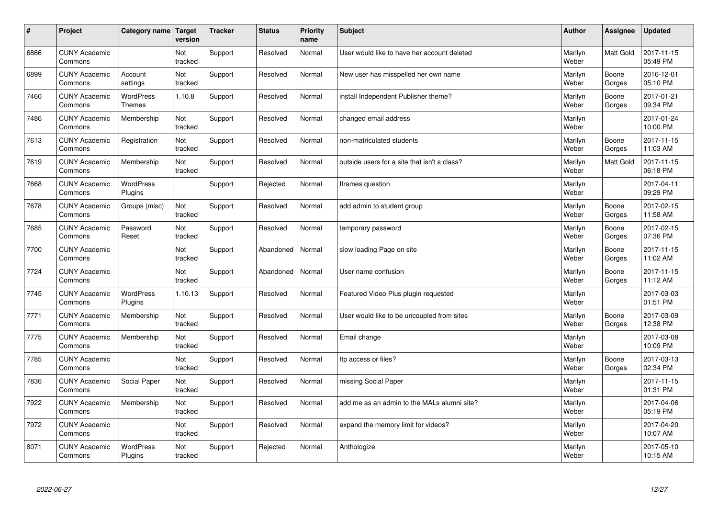| $\sharp$ | Project                         | Category name                     | Target<br>version | <b>Tracker</b> | <b>Status</b> | <b>Priority</b><br>name | <b>Subject</b>                               | <b>Author</b>    | Assignee         | Updated                |
|----------|---------------------------------|-----------------------------------|-------------------|----------------|---------------|-------------------------|----------------------------------------------|------------------|------------------|------------------------|
| 6866     | <b>CUNY Academic</b><br>Commons |                                   | Not<br>tracked    | Support        | Resolved      | Normal                  | User would like to have her account deleted  | Marilyn<br>Weber | <b>Matt Gold</b> | 2017-11-15<br>05:49 PM |
| 6899     | <b>CUNY Academic</b><br>Commons | Account<br>settings               | Not<br>tracked    | Support        | Resolved      | Normal                  | New user has misspelled her own name         | Marilyn<br>Weber | Boone<br>Gorges  | 2016-12-01<br>05:10 PM |
| 7460     | <b>CUNY Academic</b><br>Commons | <b>WordPress</b><br><b>Themes</b> | 1.10.8            | Support        | Resolved      | Normal                  | install Independent Publisher theme?         | Marilyn<br>Weber | Boone<br>Gorges  | 2017-01-21<br>09:34 PM |
| 7486     | <b>CUNY Academic</b><br>Commons | Membership                        | Not<br>tracked    | Support        | Resolved      | Normal                  | changed email address                        | Marilyn<br>Weber |                  | 2017-01-24<br>10:00 PM |
| 7613     | <b>CUNY Academic</b><br>Commons | Registration                      | Not<br>tracked    | Support        | Resolved      | Normal                  | non-matriculated students                    | Marilyn<br>Weber | Boone<br>Gorges  | 2017-11-15<br>11:03 AM |
| 7619     | <b>CUNY Academic</b><br>Commons | Membership                        | Not<br>tracked    | Support        | Resolved      | Normal                  | outside users for a site that isn't a class? | Marilyn<br>Weber | <b>Matt Gold</b> | 2017-11-15<br>06:18 PM |
| 7668     | <b>CUNY Academic</b><br>Commons | <b>WordPress</b><br>Plugins       |                   | Support        | Rejected      | Normal                  | Iframes question                             | Marilyn<br>Weber |                  | 2017-04-11<br>09:29 PM |
| 7678     | <b>CUNY Academic</b><br>Commons | Groups (misc)                     | Not<br>tracked    | Support        | Resolved      | Normal                  | add admin to student group                   | Marilyn<br>Weber | Boone<br>Gorges  | 2017-02-15<br>11:58 AM |
| 7685     | <b>CUNY Academic</b><br>Commons | Password<br>Reset                 | Not<br>tracked    | Support        | Resolved      | Normal                  | temporary password                           | Marilyn<br>Weber | Boone<br>Gorges  | 2017-02-15<br>07:36 PM |
| 7700     | <b>CUNY Academic</b><br>Commons |                                   | Not<br>tracked    | Support        | Abandoned     | Normal                  | slow loading Page on site                    | Marilyn<br>Weber | Boone<br>Gorges  | 2017-11-15<br>11:02 AM |
| 7724     | <b>CUNY Academic</b><br>Commons |                                   | Not<br>tracked    | Support        | Abandoned     | Normal                  | User name confusion                          | Marilyn<br>Weber | Boone<br>Gorges  | 2017-11-15<br>11:12 AM |
| 7745     | <b>CUNY Academic</b><br>Commons | <b>WordPress</b><br>Plugins       | 1.10.13           | Support        | Resolved      | Normal                  | Featured Video Plus plugin requested         | Marilyn<br>Weber |                  | 2017-03-03<br>01:51 PM |
| 7771     | <b>CUNY Academic</b><br>Commons | Membership                        | Not<br>tracked    | Support        | Resolved      | Normal                  | User would like to be uncoupled from sites   | Marilyn<br>Weber | Boone<br>Gorges  | 2017-03-09<br>12:38 PM |
| 7775     | <b>CUNY Academic</b><br>Commons | Membership                        | Not<br>tracked    | Support        | Resolved      | Normal                  | Email change                                 | Marilyn<br>Weber |                  | 2017-03-08<br>10:09 PM |
| 7785     | <b>CUNY Academic</b><br>Commons |                                   | Not<br>tracked    | Support        | Resolved      | Normal                  | ftp access or files?                         | Marilyn<br>Weber | Boone<br>Gorges  | 2017-03-13<br>02:34 PM |
| 7836     | <b>CUNY Academic</b><br>Commons | Social Paper                      | Not<br>tracked    | Support        | Resolved      | Normal                  | missing Social Paper                         | Marilyn<br>Weber |                  | 2017-11-15<br>01:31 PM |
| 7922     | <b>CUNY Academic</b><br>Commons | Membership                        | Not<br>tracked    | Support        | Resolved      | Normal                  | add me as an admin to the MALs alumni site?  | Marilyn<br>Weber |                  | 2017-04-06<br>05:19 PM |
| 7972     | <b>CUNY Academic</b><br>Commons |                                   | Not<br>tracked    | Support        | Resolved      | Normal                  | expand the memory limit for videos?          | Marilyn<br>Weber |                  | 2017-04-20<br>10:07 AM |
| 8071     | <b>CUNY Academic</b><br>Commons | <b>WordPress</b><br>Plugins       | Not<br>tracked    | Support        | Rejected      | Normal                  | Anthologize                                  | Marilyn<br>Weber |                  | 2017-05-10<br>10:15 AM |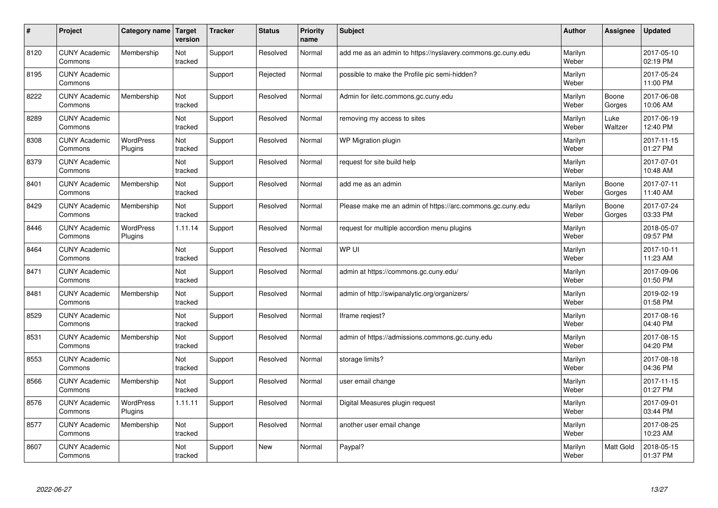| #    | Project                         | Category name               | Target<br>version | <b>Tracker</b> | <b>Status</b> | <b>Priority</b><br>name | <b>Subject</b>                                              | <b>Author</b>    | Assignee         | <b>Updated</b>         |
|------|---------------------------------|-----------------------------|-------------------|----------------|---------------|-------------------------|-------------------------------------------------------------|------------------|------------------|------------------------|
| 8120 | <b>CUNY Academic</b><br>Commons | Membership                  | Not<br>tracked    | Support        | Resolved      | Normal                  | add me as an admin to https://nyslavery.commons.gc.cuny.edu | Marilyn<br>Weber |                  | 2017-05-10<br>02:19 PM |
| 8195 | <b>CUNY Academic</b><br>Commons |                             |                   | Support        | Rejected      | Normal                  | possible to make the Profile pic semi-hidden?               | Marilyn<br>Weber |                  | 2017-05-24<br>11:00 PM |
| 8222 | <b>CUNY Academic</b><br>Commons | Membership                  | Not<br>tracked    | Support        | Resolved      | Normal                  | Admin for iletc.commons.gc.cuny.edu                         | Marilyn<br>Weber | Boone<br>Gorges  | 2017-06-08<br>10:06 AM |
| 8289 | <b>CUNY Academic</b><br>Commons |                             | Not<br>tracked    | Support        | Resolved      | Normal                  | removing my access to sites                                 | Marilyn<br>Weber | Luke<br>Waltzer  | 2017-06-19<br>12:40 PM |
| 8308 | <b>CUNY Academic</b><br>Commons | <b>WordPress</b><br>Plugins | Not<br>tracked    | Support        | Resolved      | Normal                  | WP Migration plugin                                         | Marilyn<br>Weber |                  | 2017-11-15<br>01:27 PM |
| 8379 | <b>CUNY Academic</b><br>Commons |                             | Not<br>tracked    | Support        | Resolved      | Normal                  | request for site build help                                 | Marilyn<br>Weber |                  | 2017-07-01<br>10:48 AM |
| 8401 | <b>CUNY Academic</b><br>Commons | Membership                  | Not<br>tracked    | Support        | Resolved      | Normal                  | add me as an admin                                          | Marilyn<br>Weber | Boone<br>Gorges  | 2017-07-11<br>11:40 AM |
| 8429 | <b>CUNY Academic</b><br>Commons | Membership                  | Not<br>tracked    | Support        | Resolved      | Normal                  | Please make me an admin of https://arc.commons.gc.cuny.edu  | Marilyn<br>Weber | Boone<br>Gorges  | 2017-07-24<br>03:33 PM |
| 8446 | <b>CUNY Academic</b><br>Commons | <b>WordPress</b><br>Plugins | 1.11.14           | Support        | Resolved      | Normal                  | request for multiple accordion menu plugins                 | Marilyn<br>Weber |                  | 2018-05-07<br>09:57 PM |
| 8464 | <b>CUNY Academic</b><br>Commons |                             | Not<br>tracked    | Support        | Resolved      | Normal                  | WP UI                                                       | Marilyn<br>Weber |                  | 2017-10-11<br>11:23 AM |
| 8471 | <b>CUNY Academic</b><br>Commons |                             | Not<br>tracked    | Support        | Resolved      | Normal                  | admin at https://commons.gc.cuny.edu/                       | Marilyn<br>Weber |                  | 2017-09-06<br>01:50 PM |
| 8481 | <b>CUNY Academic</b><br>Commons | Membership                  | Not<br>tracked    | Support        | Resolved      | Normal                  | admin of http://swipanalytic.org/organizers/                | Marilyn<br>Weber |                  | 2019-02-19<br>01:58 PM |
| 8529 | <b>CUNY Academic</b><br>Commons |                             | Not<br>tracked    | Support        | Resolved      | Normal                  | Iframe regiest?                                             | Marilyn<br>Weber |                  | 2017-08-16<br>04:40 PM |
| 8531 | <b>CUNY Academic</b><br>Commons | Membership                  | Not<br>tracked    | Support        | Resolved      | Normal                  | admin of https://admissions.commons.gc.cuny.edu             | Marilyn<br>Weber |                  | 2017-08-15<br>04:20 PM |
| 8553 | <b>CUNY Academic</b><br>Commons |                             | Not<br>tracked    | Support        | Resolved      | Normal                  | storage limits?                                             | Marilyn<br>Weber |                  | 2017-08-18<br>04:36 PM |
| 8566 | <b>CUNY Academic</b><br>Commons | Membership                  | Not<br>tracked    | Support        | Resolved      | Normal                  | user email change                                           | Marilyn<br>Weber |                  | 2017-11-15<br>01:27 PM |
| 8576 | <b>CUNY Academic</b><br>Commons | WordPress<br>Plugins        | 1.11.11           | Support        | Resolved      | Normal                  | Digital Measures plugin request                             | Marilyn<br>Weber |                  | 2017-09-01<br>03:44 PM |
| 8577 | <b>CUNY Academic</b><br>Commons | Membership                  | Not<br>tracked    | Support        | Resolved      | Normal                  | another user email change                                   | Marilyn<br>Weber |                  | 2017-08-25<br>10:23 AM |
| 8607 | <b>CUNY Academic</b><br>Commons |                             | Not<br>tracked    | Support        | <b>New</b>    | Normal                  | Paypal?                                                     | Marilyn<br>Weber | <b>Matt Gold</b> | 2018-05-15<br>01:37 PM |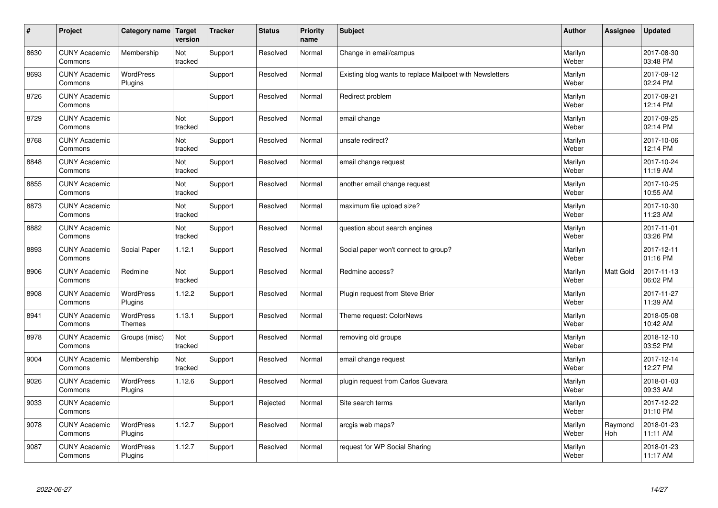| $\sharp$ | Project                         | Category name   Target            | version        | <b>Tracker</b> | <b>Status</b> | <b>Priority</b><br>name | <b>Subject</b>                                           | <b>Author</b>    | Assignee              | <b>Updated</b>         |
|----------|---------------------------------|-----------------------------------|----------------|----------------|---------------|-------------------------|----------------------------------------------------------|------------------|-----------------------|------------------------|
| 8630     | <b>CUNY Academic</b><br>Commons | Membership                        | Not<br>tracked | Support        | Resolved      | Normal                  | Change in email/campus                                   | Marilyn<br>Weber |                       | 2017-08-30<br>03:48 PM |
| 8693     | <b>CUNY Academic</b><br>Commons | <b>WordPress</b><br>Plugins       |                | Support        | Resolved      | Normal                  | Existing blog wants to replace Mailpoet with Newsletters | Marilyn<br>Weber |                       | 2017-09-12<br>02:24 PM |
| 8726     | <b>CUNY Academic</b><br>Commons |                                   |                | Support        | Resolved      | Normal                  | Redirect problem                                         | Marilyn<br>Weber |                       | 2017-09-21<br>12:14 PM |
| 8729     | <b>CUNY Academic</b><br>Commons |                                   | Not<br>tracked | Support        | Resolved      | Normal                  | email change                                             | Marilyn<br>Weber |                       | 2017-09-25<br>02:14 PM |
| 8768     | <b>CUNY Academic</b><br>Commons |                                   | Not<br>tracked | Support        | Resolved      | Normal                  | unsafe redirect?                                         | Marilyn<br>Weber |                       | 2017-10-06<br>12:14 PM |
| 8848     | <b>CUNY Academic</b><br>Commons |                                   | Not<br>tracked | Support        | Resolved      | Normal                  | email change request                                     | Marilyn<br>Weber |                       | 2017-10-24<br>11:19 AM |
| 8855     | <b>CUNY Academic</b><br>Commons |                                   | Not<br>tracked | Support        | Resolved      | Normal                  | another email change request                             | Marilyn<br>Weber |                       | 2017-10-25<br>10:55 AM |
| 8873     | <b>CUNY Academic</b><br>Commons |                                   | Not<br>tracked | Support        | Resolved      | Normal                  | maximum file upload size?                                | Marilyn<br>Weber |                       | 2017-10-30<br>11:23 AM |
| 8882     | <b>CUNY Academic</b><br>Commons |                                   | Not<br>tracked | Support        | Resolved      | Normal                  | question about search engines                            | Marilyn<br>Weber |                       | 2017-11-01<br>03:26 PM |
| 8893     | <b>CUNY Academic</b><br>Commons | Social Paper                      | 1.12.1         | Support        | Resolved      | Normal                  | Social paper won't connect to group?                     | Marilyn<br>Weber |                       | 2017-12-11<br>01:16 PM |
| 8906     | <b>CUNY Academic</b><br>Commons | Redmine                           | Not<br>tracked | Support        | Resolved      | Normal                  | Redmine access?                                          | Marilyn<br>Weber | Matt Gold             | 2017-11-13<br>06:02 PM |
| 8908     | <b>CUNY Academic</b><br>Commons | <b>WordPress</b><br>Plugins       | 1.12.2         | Support        | Resolved      | Normal                  | Plugin request from Steve Brier                          | Marilyn<br>Weber |                       | 2017-11-27<br>11:39 AM |
| 8941     | <b>CUNY Academic</b><br>Commons | <b>WordPress</b><br><b>Themes</b> | 1.13.1         | Support        | Resolved      | Normal                  | Theme request: ColorNews                                 | Marilyn<br>Weber |                       | 2018-05-08<br>10:42 AM |
| 8978     | <b>CUNY Academic</b><br>Commons | Groups (misc)                     | Not<br>tracked | Support        | Resolved      | Normal                  | removing old groups                                      | Marilyn<br>Weber |                       | 2018-12-10<br>03:52 PM |
| 9004     | <b>CUNY Academic</b><br>Commons | Membership                        | Not<br>tracked | Support        | Resolved      | Normal                  | email change request                                     | Marilyn<br>Weber |                       | 2017-12-14<br>12:27 PM |
| 9026     | <b>CUNY Academic</b><br>Commons | <b>WordPress</b><br>Plugins       | 1.12.6         | Support        | Resolved      | Normal                  | plugin request from Carlos Guevara                       | Marilyn<br>Weber |                       | 2018-01-03<br>09:33 AM |
| 9033     | <b>CUNY Academic</b><br>Commons |                                   |                | Support        | Rejected      | Normal                  | Site search terms                                        | Marilyn<br>Weber |                       | 2017-12-22<br>01:10 PM |
| 9078     | <b>CUNY Academic</b><br>Commons | <b>WordPress</b><br>Plugins       | 1.12.7         | Support        | Resolved      | Normal                  | arcgis web maps?                                         | Marilyn<br>Weber | Raymond<br><b>Hoh</b> | 2018-01-23<br>11:11 AM |
| 9087     | <b>CUNY Academic</b><br>Commons | WordPress<br>Plugins              | 1.12.7         | Support        | Resolved      | Normal                  | request for WP Social Sharing                            | Marilyn<br>Weber |                       | 2018-01-23<br>11:17 AM |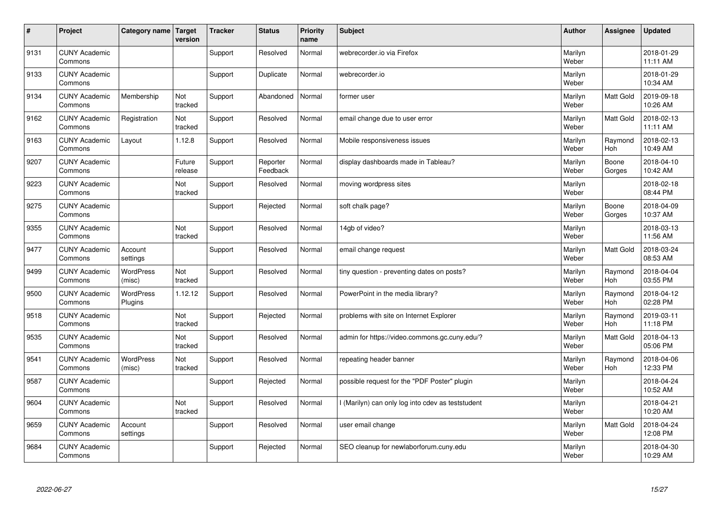| #    | Project                         | Category name               | <b>Target</b><br>version | <b>Tracker</b> | <b>Status</b>        | <b>Priority</b><br>name | <b>Subject</b>                                    | <b>Author</b>    | Assignee              | <b>Updated</b>         |
|------|---------------------------------|-----------------------------|--------------------------|----------------|----------------------|-------------------------|---------------------------------------------------|------------------|-----------------------|------------------------|
| 9131 | <b>CUNY Academic</b><br>Commons |                             |                          | Support        | Resolved             | Normal                  | webrecorder.jo via Firefox                        | Marilyn<br>Weber |                       | 2018-01-29<br>11:11 AM |
| 9133 | <b>CUNY Academic</b><br>Commons |                             |                          | Support        | Duplicate            | Normal                  | webrecorder.io                                    | Marilyn<br>Weber |                       | 2018-01-29<br>10:34 AM |
| 9134 | <b>CUNY Academic</b><br>Commons | Membership                  | Not<br>tracked           | Support        | Abandoned            | Normal                  | former user                                       | Marilyn<br>Weber | Matt Gold             | 2019-09-18<br>10:26 AM |
| 9162 | <b>CUNY Academic</b><br>Commons | Registration                | Not<br>tracked           | Support        | Resolved             | Normal                  | email change due to user error                    | Marilyn<br>Weber | Matt Gold             | 2018-02-13<br>11:11 AM |
| 9163 | <b>CUNY Academic</b><br>Commons | Layout                      | 1.12.8                   | Support        | Resolved             | Normal                  | Mobile responsiveness issues                      | Marilyn<br>Weber | Raymond<br>Hoh        | 2018-02-13<br>10:49 AM |
| 9207 | <b>CUNY Academic</b><br>Commons |                             | Future<br>release        | Support        | Reporter<br>Feedback | Normal                  | display dashboards made in Tableau?               | Marilyn<br>Weber | Boone<br>Gorges       | 2018-04-10<br>10:42 AM |
| 9223 | <b>CUNY Academic</b><br>Commons |                             | Not<br>tracked           | Support        | Resolved             | Normal                  | moving wordpress sites                            | Marilyn<br>Weber |                       | 2018-02-18<br>08:44 PM |
| 9275 | <b>CUNY Academic</b><br>Commons |                             |                          | Support        | Rejected             | Normal                  | soft chalk page?                                  | Marilyn<br>Weber | Boone<br>Gorges       | 2018-04-09<br>10:37 AM |
| 9355 | <b>CUNY Academic</b><br>Commons |                             | Not<br>tracked           | Support        | Resolved             | Normal                  | 14gb of video?                                    | Marilyn<br>Weber |                       | 2018-03-13<br>11:56 AM |
| 9477 | <b>CUNY Academic</b><br>Commons | Account<br>settings         |                          | Support        | Resolved             | Normal                  | email change request                              | Marilyn<br>Weber | <b>Matt Gold</b>      | 2018-03-24<br>08:53 AM |
| 9499 | <b>CUNY Academic</b><br>Commons | WordPress<br>(misc)         | Not<br>tracked           | Support        | Resolved             | Normal                  | tiny question - preventing dates on posts?        | Marilyn<br>Weber | Raymond<br>Hoh        | 2018-04-04<br>03:55 PM |
| 9500 | <b>CUNY Academic</b><br>Commons | <b>WordPress</b><br>Plugins | 1.12.12                  | Support        | Resolved             | Normal                  | PowerPoint in the media library?                  | Marilyn<br>Weber | Raymond<br><b>Hoh</b> | 2018-04-12<br>02:28 PM |
| 9518 | <b>CUNY Academic</b><br>Commons |                             | Not<br>tracked           | Support        | Rejected             | Normal                  | problems with site on Internet Explorer           | Marilyn<br>Weber | Raymond<br><b>Hoh</b> | 2019-03-11<br>11:18 PM |
| 9535 | <b>CUNY Academic</b><br>Commons |                             | Not<br>tracked           | Support        | Resolved             | Normal                  | admin for https://video.commons.gc.cuny.edu/?     | Marilyn<br>Weber | Matt Gold             | 2018-04-13<br>05:06 PM |
| 9541 | <b>CUNY Academic</b><br>Commons | <b>WordPress</b><br>(misc)  | Not<br>tracked           | Support        | Resolved             | Normal                  | repeating header banner                           | Marilyn<br>Weber | Raymond<br>Hoh        | 2018-04-06<br>12:33 PM |
| 9587 | <b>CUNY Academic</b><br>Commons |                             |                          | Support        | Rejected             | Normal                  | possible request for the "PDF Poster" plugin      | Marilyn<br>Weber |                       | 2018-04-24<br>10:52 AM |
| 9604 | <b>CUNY Academic</b><br>Commons |                             | Not<br>tracked           | Support        | Resolved             | Normal                  | l (Marilyn) can only log into cdev as teststudent | Marilyn<br>Weber |                       | 2018-04-21<br>10:20 AM |
| 9659 | <b>CUNY Academic</b><br>Commons | Account<br>settings         |                          | Support        | Resolved             | Normal                  | user email change                                 | Marilyn<br>Weber | Matt Gold             | 2018-04-24<br>12:08 PM |
| 9684 | <b>CUNY Academic</b><br>Commons |                             |                          | Support        | Rejected             | Normal                  | SEO cleanup for newlaborforum.cuny.edu            | Marilyn<br>Weber |                       | 2018-04-30<br>10:29 AM |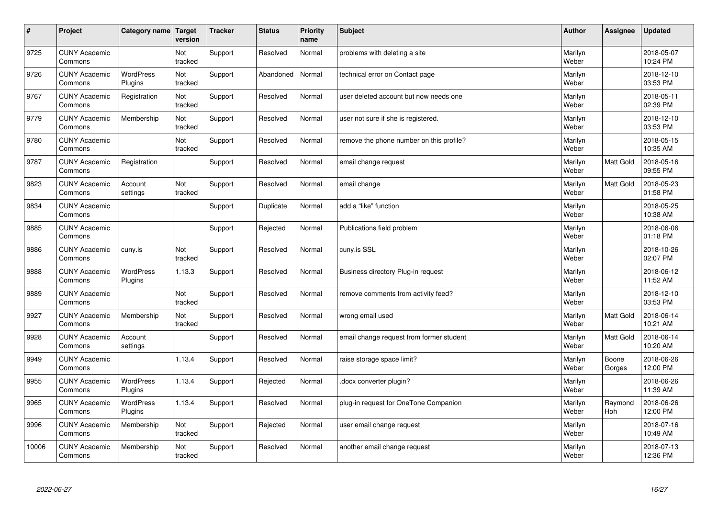| $\sharp$ | Project                         | Category name               | Target<br>version | <b>Tracker</b> | <b>Status</b> | <b>Priority</b><br>name | <b>Subject</b>                           | <b>Author</b>    | Assignee        | Updated                |
|----------|---------------------------------|-----------------------------|-------------------|----------------|---------------|-------------------------|------------------------------------------|------------------|-----------------|------------------------|
| 9725     | <b>CUNY Academic</b><br>Commons |                             | Not<br>tracked    | Support        | Resolved      | Normal                  | problems with deleting a site            | Marilyn<br>Weber |                 | 2018-05-07<br>10:24 PM |
| 9726     | <b>CUNY Academic</b><br>Commons | <b>WordPress</b><br>Plugins | Not<br>tracked    | Support        | Abandoned     | Normal                  | technical error on Contact page          | Marilyn<br>Weber |                 | 2018-12-10<br>03:53 PM |
| 9767     | <b>CUNY Academic</b><br>Commons | Registration                | Not<br>tracked    | Support        | Resolved      | Normal                  | user deleted account but now needs one   | Marilyn<br>Weber |                 | 2018-05-11<br>02:39 PM |
| 9779     | <b>CUNY Academic</b><br>Commons | Membership                  | Not<br>tracked    | Support        | Resolved      | Normal                  | user not sure if she is registered.      | Marilyn<br>Weber |                 | 2018-12-10<br>03:53 PM |
| 9780     | <b>CUNY Academic</b><br>Commons |                             | Not<br>tracked    | Support        | Resolved      | Normal                  | remove the phone number on this profile? | Marilyn<br>Weber |                 | 2018-05-15<br>10:35 AM |
| 9787     | <b>CUNY Academic</b><br>Commons | Registration                |                   | Support        | Resolved      | Normal                  | email change request                     | Marilyn<br>Weber | Matt Gold       | 2018-05-16<br>09:55 PM |
| 9823     | <b>CUNY Academic</b><br>Commons | Account<br>settings         | Not<br>tracked    | Support        | Resolved      | Normal                  | email change                             | Marilyn<br>Weber | Matt Gold       | 2018-05-23<br>01:58 PM |
| 9834     | <b>CUNY Academic</b><br>Commons |                             |                   | Support        | Duplicate     | Normal                  | add a "like" function                    | Marilyn<br>Weber |                 | 2018-05-25<br>10:38 AM |
| 9885     | <b>CUNY Academic</b><br>Commons |                             |                   | Support        | Rejected      | Normal                  | Publications field problem               | Marilyn<br>Weber |                 | 2018-06-06<br>01:18 PM |
| 9886     | <b>CUNY Academic</b><br>Commons | cuny.is                     | Not<br>tracked    | Support        | Resolved      | Normal                  | cuny.is SSL                              | Marilyn<br>Weber |                 | 2018-10-26<br>02:07 PM |
| 9888     | <b>CUNY Academic</b><br>Commons | WordPress<br>Plugins        | 1.13.3            | Support        | Resolved      | Normal                  | Business directory Plug-in request       | Marilyn<br>Weber |                 | 2018-06-12<br>11:52 AM |
| 9889     | <b>CUNY Academic</b><br>Commons |                             | Not<br>tracked    | Support        | Resolved      | Normal                  | remove comments from activity feed?      | Marilyn<br>Weber |                 | 2018-12-10<br>03:53 PM |
| 9927     | <b>CUNY Academic</b><br>Commons | Membership                  | Not<br>tracked    | Support        | Resolved      | Normal                  | wrong email used                         | Marilyn<br>Weber | Matt Gold       | 2018-06-14<br>10:21 AM |
| 9928     | <b>CUNY Academic</b><br>Commons | Account<br>settings         |                   | Support        | Resolved      | Normal                  | email change request from former student | Marilyn<br>Weber | Matt Gold       | 2018-06-14<br>10:20 AM |
| 9949     | <b>CUNY Academic</b><br>Commons |                             | 1.13.4            | Support        | Resolved      | Normal                  | raise storage space limit?               | Marilyn<br>Weber | Boone<br>Gorges | 2018-06-26<br>12:00 PM |
| 9955     | <b>CUNY Academic</b><br>Commons | <b>WordPress</b><br>Plugins | 1.13.4            | Support        | Rejected      | Normal                  | docx converter plugin?                   | Marilyn<br>Weber |                 | 2018-06-26<br>11:39 AM |
| 9965     | <b>CUNY Academic</b><br>Commons | WordPress<br>Plugins        | 1.13.4            | Support        | Resolved      | Normal                  | plug-in request for OneTone Companion    | Marilyn<br>Weber | Raymond<br>Hoh  | 2018-06-26<br>12:00 PM |
| 9996     | <b>CUNY Academic</b><br>Commons | Membership                  | Not<br>tracked    | Support        | Rejected      | Normal                  | user email change request                | Marilyn<br>Weber |                 | 2018-07-16<br>10:49 AM |
| 10006    | <b>CUNY Academic</b><br>Commons | Membership                  | Not<br>tracked    | Support        | Resolved      | Normal                  | another email change request             | Marilyn<br>Weber |                 | 2018-07-13<br>12:36 PM |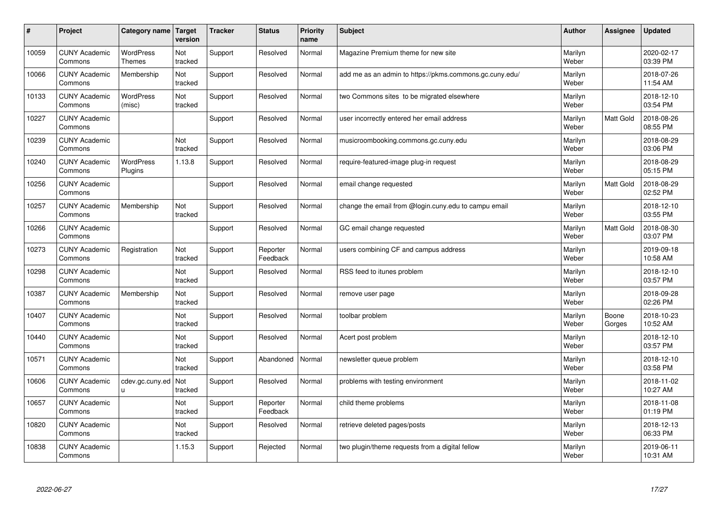| $\sharp$ | Project                         | Category name   Target            | version               | <b>Tracker</b> | <b>Status</b>        | <b>Priority</b><br>name | <b>Subject</b>                                          | <b>Author</b>    | Assignee         | Updated                |
|----------|---------------------------------|-----------------------------------|-----------------------|----------------|----------------------|-------------------------|---------------------------------------------------------|------------------|------------------|------------------------|
| 10059    | <b>CUNY Academic</b><br>Commons | <b>WordPress</b><br><b>Themes</b> | Not<br>tracked        | Support        | Resolved             | Normal                  | Magazine Premium theme for new site                     | Marilyn<br>Weber |                  | 2020-02-17<br>03:39 PM |
| 10066    | <b>CUNY Academic</b><br>Commons | Membership                        | Not<br>tracked        | Support        | Resolved             | Normal                  | add me as an admin to https://pkms.commons.gc.cuny.edu/ | Marilyn<br>Weber |                  | 2018-07-26<br>11:54 AM |
| 10133    | <b>CUNY Academic</b><br>Commons | <b>WordPress</b><br>(misc)        | Not<br>tracked        | Support        | Resolved             | Normal                  | two Commons sites to be migrated elsewhere              | Marilyn<br>Weber |                  | 2018-12-10<br>03:54 PM |
| 10227    | <b>CUNY Academic</b><br>Commons |                                   |                       | Support        | Resolved             | Normal                  | user incorrectly entered her email address              | Marilyn<br>Weber | Matt Gold        | 2018-08-26<br>08:55 PM |
| 10239    | <b>CUNY Academic</b><br>Commons |                                   | Not<br>tracked        | Support        | Resolved             | Normal                  | musicroombooking.commons.gc.cuny.edu                    | Marilyn<br>Weber |                  | 2018-08-29<br>03:06 PM |
| 10240    | <b>CUNY Academic</b><br>Commons | <b>WordPress</b><br>Plugins       | 1.13.8                | Support        | Resolved             | Normal                  | require-featured-image plug-in request                  | Marilyn<br>Weber |                  | 2018-08-29<br>05:15 PM |
| 10256    | <b>CUNY Academic</b><br>Commons |                                   |                       | Support        | Resolved             | Normal                  | email change requested                                  | Marilyn<br>Weber | Matt Gold        | 2018-08-29<br>02:52 PM |
| 10257    | <b>CUNY Academic</b><br>Commons | Membership                        | Not<br>tracked        | Support        | Resolved             | Normal                  | change the email from @login.cuny.edu to campu email    | Marilyn<br>Weber |                  | 2018-12-10<br>03:55 PM |
| 10266    | <b>CUNY Academic</b><br>Commons |                                   |                       | Support        | Resolved             | Normal                  | GC email change requested                               | Marilyn<br>Weber | <b>Matt Gold</b> | 2018-08-30<br>03:07 PM |
| 10273    | <b>CUNY Academic</b><br>Commons | Registration                      | Not<br>tracked        | Support        | Reporter<br>Feedback | Normal                  | users combining CF and campus address                   | Marilyn<br>Weber |                  | 2019-09-18<br>10:58 AM |
| 10298    | <b>CUNY Academic</b><br>Commons |                                   | Not<br>tracked        | Support        | Resolved             | Normal                  | RSS feed to itunes problem                              | Marilyn<br>Weber |                  | 2018-12-10<br>03:57 PM |
| 10387    | <b>CUNY Academic</b><br>Commons | Membership                        | Not<br>tracked        | Support        | Resolved             | Normal                  | remove user page                                        | Marilyn<br>Weber |                  | 2018-09-28<br>02:26 PM |
| 10407    | <b>CUNY Academic</b><br>Commons |                                   | Not<br>tracked        | Support        | Resolved             | Normal                  | toolbar problem                                         | Marilyn<br>Weber | Boone<br>Gorges  | 2018-10-23<br>10:52 AM |
| 10440    | <b>CUNY Academic</b><br>Commons |                                   | Not<br>tracked        | Support        | Resolved             | Normal                  | Acert post problem                                      | Marilyn<br>Weber |                  | 2018-12-10<br>03:57 PM |
| 10571    | <b>CUNY Academic</b><br>Commons |                                   | Not<br>tracked        | Support        | Abandoned            | Normal                  | newsletter queue problem                                | Marilyn<br>Weber |                  | 2018-12-10<br>03:58 PM |
| 10606    | <b>CUNY Academic</b><br>Commons | cdev.gc.cuny.ed<br>u.             | <b>Not</b><br>tracked | Support        | Resolved             | Normal                  | problems with testing environment                       | Marilyn<br>Weber |                  | 2018-11-02<br>10:27 AM |
| 10657    | <b>CUNY Academic</b><br>Commons |                                   | Not<br>tracked        | Support        | Reporter<br>Feedback | Normal                  | child theme problems                                    | Marilyn<br>Weber |                  | 2018-11-08<br>01:19 PM |
| 10820    | <b>CUNY Academic</b><br>Commons |                                   | Not<br>tracked        | Support        | Resolved             | Normal                  | retrieve deleted pages/posts                            | Marilyn<br>Weber |                  | 2018-12-13<br>06:33 PM |
| 10838    | <b>CUNY Academic</b><br>Commons |                                   | 1.15.3                | Support        | Rejected             | Normal                  | two plugin/theme requests from a digital fellow         | Marilyn<br>Weber |                  | 2019-06-11<br>10:31 AM |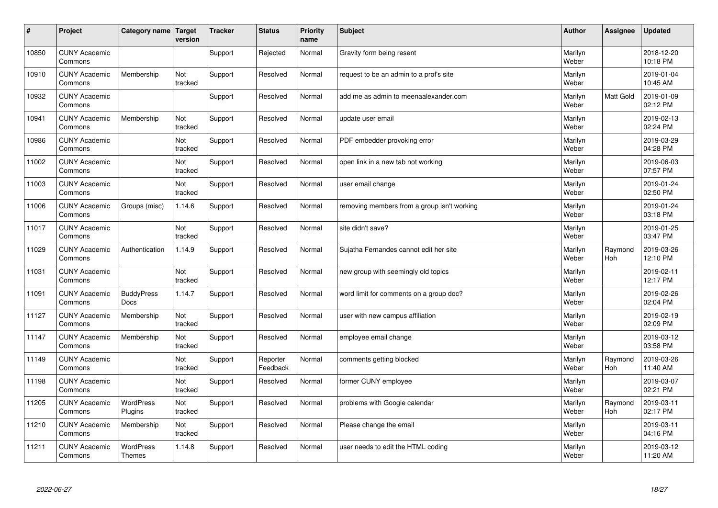| #     | Project                         | Category name   Target            | version        | <b>Tracker</b> | <b>Status</b>        | <b>Priority</b><br>name | <b>Subject</b>                              | <b>Author</b>    | Assignee              | <b>Updated</b>         |
|-------|---------------------------------|-----------------------------------|----------------|----------------|----------------------|-------------------------|---------------------------------------------|------------------|-----------------------|------------------------|
| 10850 | <b>CUNY Academic</b><br>Commons |                                   |                | Support        | Rejected             | Normal                  | Gravity form being resent                   | Marilyn<br>Weber |                       | 2018-12-20<br>10:18 PM |
| 10910 | <b>CUNY Academic</b><br>Commons | Membership                        | Not<br>tracked | Support        | Resolved             | Normal                  | request to be an admin to a prof's site     | Marilyn<br>Weber |                       | 2019-01-04<br>10:45 AM |
| 10932 | <b>CUNY Academic</b><br>Commons |                                   |                | Support        | Resolved             | Normal                  | add me as admin to meenaalexander.com       | Marilyn<br>Weber | Matt Gold             | 2019-01-09<br>02:12 PM |
| 10941 | <b>CUNY Academic</b><br>Commons | Membership                        | Not<br>tracked | Support        | Resolved             | Normal                  | update user email                           | Marilyn<br>Weber |                       | 2019-02-13<br>02:24 PM |
| 10986 | <b>CUNY Academic</b><br>Commons |                                   | Not<br>tracked | Support        | Resolved             | Normal                  | PDF embedder provoking error                | Marilyn<br>Weber |                       | 2019-03-29<br>04:28 PM |
| 11002 | <b>CUNY Academic</b><br>Commons |                                   | Not<br>tracked | Support        | Resolved             | Normal                  | open link in a new tab not working          | Marilyn<br>Weber |                       | 2019-06-03<br>07:57 PM |
| 11003 | <b>CUNY Academic</b><br>Commons |                                   | Not<br>tracked | Support        | Resolved             | Normal                  | user email change                           | Marilyn<br>Weber |                       | 2019-01-24<br>02:50 PM |
| 11006 | <b>CUNY Academic</b><br>Commons | Groups (misc)                     | 1.14.6         | Support        | Resolved             | Normal                  | removing members from a group isn't working | Marilyn<br>Weber |                       | 2019-01-24<br>03:18 PM |
| 11017 | <b>CUNY Academic</b><br>Commons |                                   | Not<br>tracked | Support        | Resolved             | Normal                  | site didn't save?                           | Marilyn<br>Weber |                       | 2019-01-25<br>03:47 PM |
| 11029 | <b>CUNY Academic</b><br>Commons | Authentication                    | 1.14.9         | Support        | Resolved             | Normal                  | Sujatha Fernandes cannot edit her site      | Marilyn<br>Weber | Raymond<br><b>Hoh</b> | 2019-03-26<br>12:10 PM |
| 11031 | <b>CUNY Academic</b><br>Commons |                                   | Not<br>tracked | Support        | Resolved             | Normal                  | new group with seemingly old topics         | Marilyn<br>Weber |                       | 2019-02-11<br>12:17 PM |
| 11091 | <b>CUNY Academic</b><br>Commons | <b>BuddyPress</b><br><b>Docs</b>  | 1.14.7         | Support        | Resolved             | Normal                  | word limit for comments on a group doc?     | Marilyn<br>Weber |                       | 2019-02-26<br>02:04 PM |
| 11127 | <b>CUNY Academic</b><br>Commons | Membership                        | Not<br>tracked | Support        | Resolved             | Normal                  | user with new campus affiliation            | Marilyn<br>Weber |                       | 2019-02-19<br>02:09 PM |
| 11147 | <b>CUNY Academic</b><br>Commons | Membership                        | Not<br>tracked | Support        | Resolved             | Normal                  | employee email change                       | Marilyn<br>Weber |                       | 2019-03-12<br>03:58 PM |
| 11149 | <b>CUNY Academic</b><br>Commons |                                   | Not<br>tracked | Support        | Reporter<br>Feedback | Normal                  | comments getting blocked                    | Marilyn<br>Weber | Raymond<br><b>Hoh</b> | 2019-03-26<br>11:40 AM |
| 11198 | <b>CUNY Academic</b><br>Commons |                                   | Not<br>tracked | Support        | Resolved             | Normal                  | former CUNY employee                        | Marilyn<br>Weber |                       | 2019-03-07<br>02:21 PM |
| 11205 | <b>CUNY Academic</b><br>Commons | <b>WordPress</b><br>Plugins       | Not<br>tracked | Support        | Resolved             | Normal                  | problems with Google calendar               | Marilyn<br>Weber | Raymond<br>Hoh        | 2019-03-11<br>02:17 PM |
| 11210 | <b>CUNY Academic</b><br>Commons | Membership                        | Not<br>tracked | Support        | Resolved             | Normal                  | Please change the email                     | Marilyn<br>Weber |                       | 2019-03-11<br>04:16 PM |
| 11211 | <b>CUNY Academic</b><br>Commons | <b>WordPress</b><br><b>Themes</b> | 1.14.8         | Support        | Resolved             | Normal                  | user needs to edit the HTML coding          | Marilyn<br>Weber |                       | 2019-03-12<br>11:20 AM |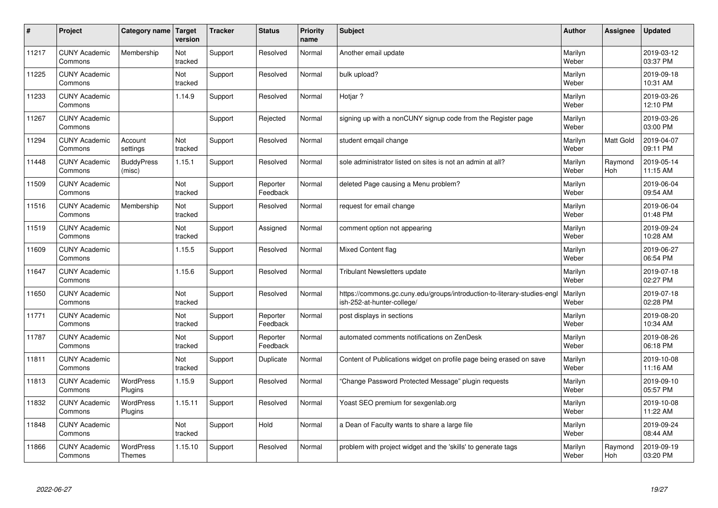| $\sharp$ | Project                         | Category name   Target      | version        | <b>Tracker</b> | <b>Status</b>        | <b>Priority</b><br>name | <b>Subject</b>                                                                                         | <b>Author</b>    | Assignee         | <b>Updated</b>         |
|----------|---------------------------------|-----------------------------|----------------|----------------|----------------------|-------------------------|--------------------------------------------------------------------------------------------------------|------------------|------------------|------------------------|
| 11217    | <b>CUNY Academic</b><br>Commons | Membership                  | Not<br>tracked | Support        | Resolved             | Normal                  | Another email update                                                                                   | Marilyn<br>Weber |                  | 2019-03-12<br>03:37 PM |
| 11225    | <b>CUNY Academic</b><br>Commons |                             | Not<br>tracked | Support        | Resolved             | Normal                  | bulk upload?                                                                                           | Marilyn<br>Weber |                  | 2019-09-18<br>10:31 AM |
| 11233    | <b>CUNY Academic</b><br>Commons |                             | 1.14.9         | Support        | Resolved             | Normal                  | Hotjar?                                                                                                | Marilyn<br>Weber |                  | 2019-03-26<br>12:10 PM |
| 11267    | <b>CUNY Academic</b><br>Commons |                             |                | Support        | Rejected             | Normal                  | signing up with a nonCUNY signup code from the Register page                                           | Marilyn<br>Weber |                  | 2019-03-26<br>03:00 PM |
| 11294    | <b>CUNY Academic</b><br>Commons | Account<br>settings         | Not<br>tracked | Support        | Resolved             | Normal                  | student emgail change                                                                                  | Marilyn<br>Weber | <b>Matt Gold</b> | 2019-04-07<br>09:11 PM |
| 11448    | <b>CUNY Academic</b><br>Commons | <b>BuddyPress</b><br>(misc) | 1.15.1         | Support        | Resolved             | Normal                  | sole administrator listed on sites is not an admin at all?                                             | Marilyn<br>Weber | Raymond<br>Hoh   | 2019-05-14<br>11:15 AM |
| 11509    | <b>CUNY Academic</b><br>Commons |                             | Not<br>tracked | Support        | Reporter<br>Feedback | Normal                  | deleted Page causing a Menu problem?                                                                   | Marilyn<br>Weber |                  | 2019-06-04<br>09:54 AM |
| 11516    | <b>CUNY Academic</b><br>Commons | Membership                  | Not<br>tracked | Support        | Resolved             | Normal                  | request for email change                                                                               | Marilyn<br>Weber |                  | 2019-06-04<br>01:48 PM |
| 11519    | <b>CUNY Academic</b><br>Commons |                             | Not<br>tracked | Support        | Assigned             | Normal                  | comment option not appearing                                                                           | Marilyn<br>Weber |                  | 2019-09-24<br>10:28 AM |
| 11609    | <b>CUNY Academic</b><br>Commons |                             | 1.15.5         | Support        | Resolved             | Normal                  | <b>Mixed Content flag</b>                                                                              | Marilyn<br>Weber |                  | 2019-06-27<br>06:54 PM |
| 11647    | <b>CUNY Academic</b><br>Commons |                             | 1.15.6         | Support        | Resolved             | Normal                  | Tribulant Newsletters update                                                                           | Marilyn<br>Weber |                  | 2019-07-18<br>02:27 PM |
| 11650    | <b>CUNY Academic</b><br>Commons |                             | Not<br>tracked | Support        | Resolved             | Normal                  | https://commons.gc.cuny.edu/groups/introduction-to-literary-studies-engl<br>ish-252-at-hunter-college/ | Marilyn<br>Weber |                  | 2019-07-18<br>02:28 PM |
| 11771    | <b>CUNY Academic</b><br>Commons |                             | Not<br>tracked | Support        | Reporter<br>Feedback | Normal                  | post displays in sections                                                                              | Marilyn<br>Weber |                  | 2019-08-20<br>10:34 AM |
| 11787    | <b>CUNY Academic</b><br>Commons |                             | Not<br>tracked | Support        | Reporter<br>Feedback | Normal                  | automated comments notifications on ZenDesk                                                            | Marilyn<br>Weber |                  | 2019-08-26<br>06:18 PM |
| 11811    | <b>CUNY Academic</b><br>Commons |                             | Not<br>tracked | Support        | Duplicate            | Normal                  | Content of Publications widget on profile page being erased on save                                    | Marilyn<br>Weber |                  | 2019-10-08<br>11:16 AM |
| 11813    | <b>CUNY Academic</b><br>Commons | <b>WordPress</b><br>Plugins | 1.15.9         | Support        | Resolved             | Normal                  | 'Change Password Protected Message" plugin requests                                                    | Marilyn<br>Weber |                  | 2019-09-10<br>05:57 PM |
| 11832    | <b>CUNY Academic</b><br>Commons | WordPress<br>Plugins        | 1.15.11        | Support        | Resolved             | Normal                  | Yoast SEO premium for sexgenlab.org                                                                    | Marilyn<br>Weber |                  | 2019-10-08<br>11:22 AM |
| 11848    | <b>CUNY Academic</b><br>Commons |                             | Not<br>tracked | Support        | Hold                 | Normal                  | a Dean of Faculty wants to share a large file                                                          | Marilyn<br>Weber |                  | 2019-09-24<br>08:44 AM |
| 11866    | <b>CUNY Academic</b><br>Commons | <b>WordPress</b><br>Themes  | 1.15.10        | Support        | Resolved             | Normal                  | problem with project widget and the 'skills' to generate tags                                          | Marilyn<br>Weber | Raymond<br>Hoh   | 2019-09-19<br>03:20 PM |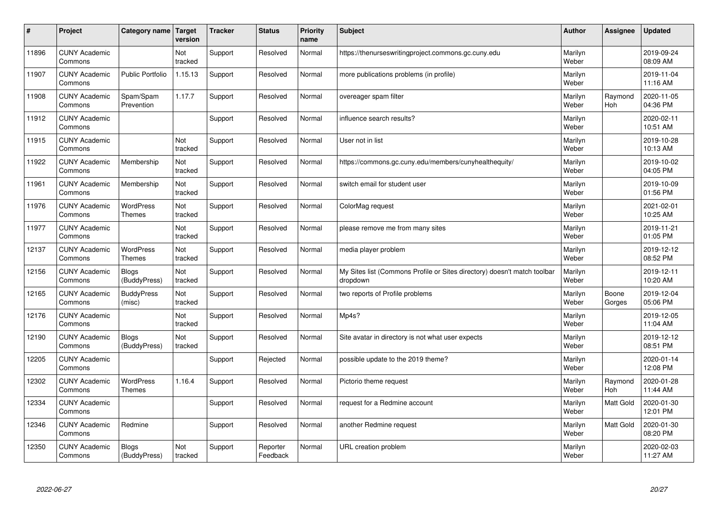| #     | Project                         | Category name   Target            | version        | <b>Tracker</b> | <b>Status</b>        | <b>Priority</b><br>name | <b>Subject</b>                                                                       | <b>Author</b>    | Assignee         | Updated                |
|-------|---------------------------------|-----------------------------------|----------------|----------------|----------------------|-------------------------|--------------------------------------------------------------------------------------|------------------|------------------|------------------------|
| 11896 | <b>CUNY Academic</b><br>Commons |                                   | Not<br>tracked | Support        | Resolved             | Normal                  | https://thenurseswritingproject.commons.gc.cuny.edu                                  | Marilyn<br>Weber |                  | 2019-09-24<br>08:09 AM |
| 11907 | <b>CUNY Academic</b><br>Commons | <b>Public Portfolio</b>           | 1.15.13        | Support        | Resolved             | Normal                  | more publications problems (in profile)                                              | Marilyn<br>Weber |                  | 2019-11-04<br>11:16 AM |
| 11908 | <b>CUNY Academic</b><br>Commons | Spam/Spam<br>Prevention           | 1.17.7         | Support        | Resolved             | Normal                  | overeager spam filter                                                                | Marilyn<br>Weber | Raymond<br>Hoh   | 2020-11-05<br>04:36 PM |
| 11912 | <b>CUNY Academic</b><br>Commons |                                   |                | Support        | Resolved             | Normal                  | influence search results?                                                            | Marilyn<br>Weber |                  | 2020-02-11<br>10:51 AM |
| 11915 | <b>CUNY Academic</b><br>Commons |                                   | Not<br>tracked | Support        | Resolved             | Normal                  | User not in list                                                                     | Marilyn<br>Weber |                  | 2019-10-28<br>10:13 AM |
| 11922 | <b>CUNY Academic</b><br>Commons | Membership                        | Not<br>tracked | Support        | Resolved             | Normal                  | https://commons.gc.cuny.edu/members/cunyhealthequity/                                | Marilyn<br>Weber |                  | 2019-10-02<br>04:05 PM |
| 11961 | <b>CUNY Academic</b><br>Commons | Membership                        | Not<br>tracked | Support        | Resolved             | Normal                  | switch email for student user                                                        | Marilyn<br>Weber |                  | 2019-10-09<br>01:56 PM |
| 11976 | <b>CUNY Academic</b><br>Commons | WordPress<br><b>Themes</b>        | Not<br>tracked | Support        | Resolved             | Normal                  | ColorMag request                                                                     | Marilyn<br>Weber |                  | 2021-02-01<br>10:25 AM |
| 11977 | <b>CUNY Academic</b><br>Commons |                                   | Not<br>tracked | Support        | Resolved             | Normal                  | please remove me from many sites                                                     | Marilyn<br>Weber |                  | 2019-11-21<br>01:05 PM |
| 12137 | <b>CUNY Academic</b><br>Commons | <b>WordPress</b><br><b>Themes</b> | Not<br>tracked | Support        | Resolved             | Normal                  | media player problem                                                                 | Marilyn<br>Weber |                  | 2019-12-12<br>08:52 PM |
| 12156 | <b>CUNY Academic</b><br>Commons | <b>Blogs</b><br>(BuddyPress)      | Not<br>tracked | Support        | Resolved             | Normal                  | My Sites list (Commons Profile or Sites directory) doesn't match toolbar<br>dropdown | Marilyn<br>Weber |                  | 2019-12-11<br>10:20 AM |
| 12165 | <b>CUNY Academic</b><br>Commons | <b>BuddyPress</b><br>(misc)       | Not<br>tracked | Support        | Resolved             | Normal                  | two reports of Profile problems                                                      | Marilyn<br>Weber | Boone<br>Gorges  | 2019-12-04<br>05:06 PM |
| 12176 | <b>CUNY Academic</b><br>Commons |                                   | Not<br>tracked | Support        | Resolved             | Normal                  | Mp4s?                                                                                | Marilyn<br>Weber |                  | 2019-12-05<br>11:04 AM |
| 12190 | <b>CUNY Academic</b><br>Commons | <b>Blogs</b><br>(BuddyPress)      | Not<br>tracked | Support        | Resolved             | Normal                  | Site avatar in directory is not what user expects                                    | Marilyn<br>Weber |                  | 2019-12-12<br>08:51 PM |
| 12205 | <b>CUNY Academic</b><br>Commons |                                   |                | Support        | Rejected             | Normal                  | possible update to the 2019 theme?                                                   | Marilyn<br>Weber |                  | 2020-01-14<br>12:08 PM |
| 12302 | <b>CUNY Academic</b><br>Commons | <b>WordPress</b><br><b>Themes</b> | 1.16.4         | Support        | Resolved             | Normal                  | Pictorio theme request                                                               | Marilyn<br>Weber | Raymond<br>Hoh   | 2020-01-28<br>11:44 AM |
| 12334 | <b>CUNY Academic</b><br>Commons |                                   |                | Support        | Resolved             | Normal                  | request for a Redmine account                                                        | Marilyn<br>Weber | <b>Matt Gold</b> | 2020-01-30<br>12:01 PM |
| 12346 | <b>CUNY Academic</b><br>Commons | Redmine                           |                | Support        | Resolved             | Normal                  | another Redmine request                                                              | Marilyn<br>Weber | Matt Gold        | 2020-01-30<br>08:20 PM |
| 12350 | <b>CUNY Academic</b><br>Commons | <b>Blogs</b><br>(BuddyPress)      | Not<br>tracked | Support        | Reporter<br>Feedback | Normal                  | URL creation problem                                                                 | Marilyn<br>Weber |                  | 2020-02-03<br>11:27 AM |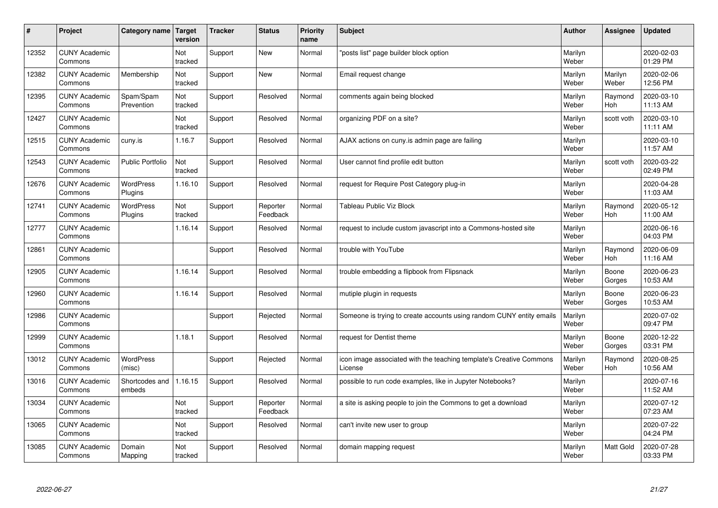| #     | Project                         | Category name               | Target<br>version | <b>Tracker</b> | <b>Status</b>        | <b>Priority</b><br>name | <b>Subject</b>                                                                 | <b>Author</b>    | Assignee              | Updated                |
|-------|---------------------------------|-----------------------------|-------------------|----------------|----------------------|-------------------------|--------------------------------------------------------------------------------|------------------|-----------------------|------------------------|
| 12352 | <b>CUNY Academic</b><br>Commons |                             | Not<br>tracked    | Support        | <b>New</b>           | Normal                  | 'posts list" page builder block option                                         | Marilyn<br>Weber |                       | 2020-02-03<br>01:29 PM |
| 12382 | <b>CUNY Academic</b><br>Commons | Membership                  | Not<br>tracked    | Support        | <b>New</b>           | Normal                  | Email request change                                                           | Marilyn<br>Weber | Marilyn<br>Weber      | 2020-02-06<br>12:56 PM |
| 12395 | <b>CUNY Academic</b><br>Commons | Spam/Spam<br>Prevention     | Not<br>tracked    | Support        | Resolved             | Normal                  | comments again being blocked                                                   | Marilyn<br>Weber | Raymond<br><b>Hoh</b> | 2020-03-10<br>11:13 AM |
| 12427 | <b>CUNY Academic</b><br>Commons |                             | Not<br>tracked    | Support        | Resolved             | Normal                  | organizing PDF on a site?                                                      | Marilyn<br>Weber | scott voth            | 2020-03-10<br>11:11 AM |
| 12515 | <b>CUNY Academic</b><br>Commons | cuny.is                     | 1.16.7            | Support        | Resolved             | Normal                  | AJAX actions on cuny is admin page are failing                                 | Marilyn<br>Weber |                       | 2020-03-10<br>11:57 AM |
| 12543 | <b>CUNY Academic</b><br>Commons | <b>Public Portfolio</b>     | Not<br>tracked    | Support        | Resolved             | Normal                  | User cannot find profile edit button                                           | Marilyn<br>Weber | scott voth            | 2020-03-22<br>02:49 PM |
| 12676 | <b>CUNY Academic</b><br>Commons | <b>WordPress</b><br>Plugins | 1.16.10           | Support        | Resolved             | Normal                  | request for Require Post Category plug-in                                      | Marilyn<br>Weber |                       | 2020-04-28<br>11:03 AM |
| 12741 | <b>CUNY Academic</b><br>Commons | WordPress<br>Plugins        | Not<br>tracked    | Support        | Reporter<br>Feedback | Normal                  | <b>Tableau Public Viz Block</b>                                                | Marilyn<br>Weber | Raymond<br>Hoh        | 2020-05-12<br>11:00 AM |
| 12777 | <b>CUNY Academic</b><br>Commons |                             | 1.16.14           | Support        | Resolved             | Normal                  | request to include custom javascript into a Commons-hosted site                | Marilyn<br>Weber |                       | 2020-06-16<br>04:03 PM |
| 12861 | <b>CUNY Academic</b><br>Commons |                             |                   | Support        | Resolved             | Normal                  | trouble with YouTube                                                           | Marilyn<br>Weber | Raymond<br>Hoh        | 2020-06-09<br>11:16 AM |
| 12905 | <b>CUNY Academic</b><br>Commons |                             | 1.16.14           | Support        | Resolved             | Normal                  | trouble embedding a flipbook from Flipsnack                                    | Marilyn<br>Weber | Boone<br>Gorges       | 2020-06-23<br>10:53 AM |
| 12960 | <b>CUNY Academic</b><br>Commons |                             | 1.16.14           | Support        | Resolved             | Normal                  | mutiple plugin in requests                                                     | Marilyn<br>Weber | Boone<br>Gorges       | 2020-06-23<br>10:53 AM |
| 12986 | <b>CUNY Academic</b><br>Commons |                             |                   | Support        | Rejected             | Normal                  | Someone is trying to create accounts using random CUNY entity emails           | Marilyn<br>Weber |                       | 2020-07-02<br>09:47 PM |
| 12999 | <b>CUNY Academic</b><br>Commons |                             | 1.18.1            | Support        | Resolved             | Normal                  | request for Dentist theme                                                      | Marilyn<br>Weber | Boone<br>Gorges       | 2020-12-22<br>03:31 PM |
| 13012 | <b>CUNY Academic</b><br>Commons | <b>WordPress</b><br>(misc)  |                   | Support        | Rejected             | Normal                  | icon image associated with the teaching template's Creative Commons<br>License | Marilyn<br>Weber | Raymond<br><b>Hoh</b> | 2020-08-25<br>10:56 AM |
| 13016 | <b>CUNY Academic</b><br>Commons | Shortcodes and<br>embeds    | 1.16.15           | Support        | Resolved             | Normal                  | possible to run code examples, like in Jupyter Notebooks?                      | Marilyn<br>Weber |                       | 2020-07-16<br>11:52 AM |
| 13034 | <b>CUNY Academic</b><br>Commons |                             | Not<br>tracked    | Support        | Reporter<br>Feedback | Normal                  | a site is asking people to join the Commons to get a download                  | Marilyn<br>Weber |                       | 2020-07-12<br>07:23 AM |
| 13065 | <b>CUNY Academic</b><br>Commons |                             | Not<br>tracked    | Support        | Resolved             | Normal                  | can't invite new user to group                                                 | Marilyn<br>Weber |                       | 2020-07-22<br>04:24 PM |
| 13085 | <b>CUNY Academic</b><br>Commons | Domain<br>Mapping           | Not<br>tracked    | Support        | Resolved             | Normal                  | domain mapping request                                                         | Marilyn<br>Weber | <b>Matt Gold</b>      | 2020-07-28<br>03:33 PM |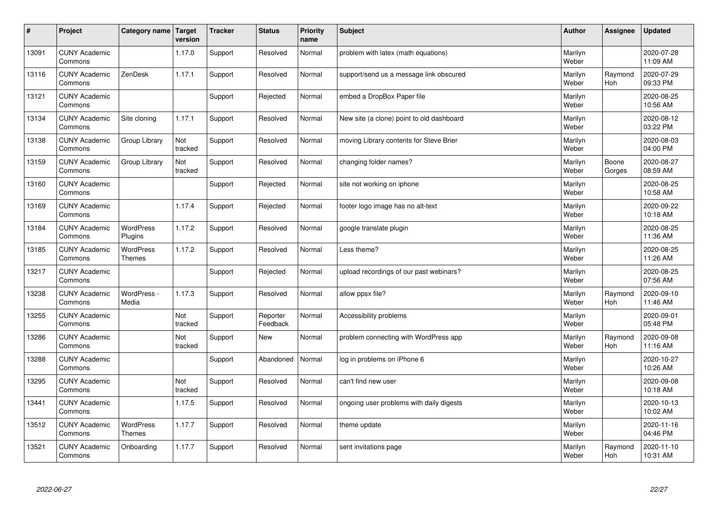| $\sharp$ | Project                         | Category name   Target            | version        | <b>Tracker</b> | <b>Status</b>        | <b>Priority</b><br>name | <b>Subject</b>                            | <b>Author</b>    | Assignee              | <b>Updated</b>         |
|----------|---------------------------------|-----------------------------------|----------------|----------------|----------------------|-------------------------|-------------------------------------------|------------------|-----------------------|------------------------|
| 13091    | <b>CUNY Academic</b><br>Commons |                                   | 1.17.0         | Support        | Resolved             | Normal                  | problem with latex (math equations)       | Marilyn<br>Weber |                       | 2020-07-28<br>11:09 AM |
| 13116    | <b>CUNY Academic</b><br>Commons | ZenDesk                           | 1.17.1         | Support        | Resolved             | Normal                  | support/send us a message link obscured   | Marilyn<br>Weber | Raymond<br><b>Hoh</b> | 2020-07-29<br>09:33 PM |
| 13121    | <b>CUNY Academic</b><br>Commons |                                   |                | Support        | Rejected             | Normal                  | embed a DropBox Paper file                | Marilyn<br>Weber |                       | 2020-08-25<br>10:56 AM |
| 13134    | <b>CUNY Academic</b><br>Commons | Site cloning                      | 1.17.1         | Support        | Resolved             | Normal                  | New site (a clone) point to old dashboard | Marilyn<br>Weber |                       | 2020-08-12<br>03:22 PM |
| 13138    | <b>CUNY Academic</b><br>Commons | Group Library                     | Not<br>tracked | Support        | Resolved             | Normal                  | moving Library contents for Steve Brier   | Marilyn<br>Weber |                       | 2020-08-03<br>04:00 PM |
| 13159    | <b>CUNY Academic</b><br>Commons | Group Library                     | Not<br>tracked | Support        | Resolved             | Normal                  | changing folder names?                    | Marilyn<br>Weber | Boone<br>Gorges       | 2020-08-27<br>08:59 AM |
| 13160    | <b>CUNY Academic</b><br>Commons |                                   |                | Support        | Rejected             | Normal                  | site not working on iphone                | Marilyn<br>Weber |                       | 2020-08-25<br>10:58 AM |
| 13169    | <b>CUNY Academic</b><br>Commons |                                   | 1.17.4         | Support        | Rejected             | Normal                  | footer logo image has no alt-text         | Marilyn<br>Weber |                       | 2020-09-22<br>10:18 AM |
| 13184    | <b>CUNY Academic</b><br>Commons | <b>WordPress</b><br>Plugins       | 1.17.2         | Support        | Resolved             | Normal                  | google translate plugin                   | Marilyn<br>Weber |                       | 2020-08-25<br>11:36 AM |
| 13185    | <b>CUNY Academic</b><br>Commons | <b>WordPress</b><br><b>Themes</b> | 1.17.2         | Support        | Resolved             | Normal                  | Less theme?                               | Marilyn<br>Weber |                       | 2020-08-25<br>11:26 AM |
| 13217    | <b>CUNY Academic</b><br>Commons |                                   |                | Support        | Rejected             | Normal                  | upload recordings of our past webinars?   | Marilyn<br>Weber |                       | 2020-08-25<br>07:56 AM |
| 13238    | <b>CUNY Academic</b><br>Commons | WordPress -<br>Media              | 1.17.3         | Support        | Resolved             | Normal                  | allow ppsx file?                          | Marilyn<br>Weber | Raymond<br><b>Hoh</b> | 2020-09-10<br>11:46 AM |
| 13255    | <b>CUNY Academic</b><br>Commons |                                   | Not<br>tracked | Support        | Reporter<br>Feedback | Normal                  | Accessibility problems                    | Marilyn<br>Weber |                       | 2020-09-01<br>05:48 PM |
| 13286    | <b>CUNY Academic</b><br>Commons |                                   | Not<br>tracked | Support        | <b>New</b>           | Normal                  | problem connecting with WordPress app     | Marilyn<br>Weber | Raymond<br><b>Hoh</b> | 2020-09-08<br>11:16 AM |
| 13288    | <b>CUNY Academic</b><br>Commons |                                   |                | Support        | Abandoned            | Normal                  | log in problems on iPhone 6               | Marilyn<br>Weber |                       | 2020-10-27<br>10:26 AM |
| 13295    | <b>CUNY Academic</b><br>Commons |                                   | Not<br>tracked | Support        | Resolved             | Normal                  | can't find new user                       | Marilyn<br>Weber |                       | 2020-09-08<br>10:18 AM |
| 13441    | <b>CUNY Academic</b><br>Commons |                                   | 1.17.5         | Support        | Resolved             | Normal                  | ongoing user problems with daily digests  | Marilyn<br>Weber |                       | 2020-10-13<br>10:02 AM |
| 13512    | <b>CUNY Academic</b><br>Commons | <b>WordPress</b><br><b>Themes</b> | 1.17.7         | Support        | Resolved             | Normal                  | theme update                              | Marilyn<br>Weber |                       | 2020-11-16<br>04:46 PM |
| 13521    | <b>CUNY Academic</b><br>Commons | Onboarding                        | 1.17.7         | Support        | Resolved             | Normal                  | sent invitations page                     | Marilyn<br>Weber | Raymond<br>Hoh        | 2020-11-10<br>10:31 AM |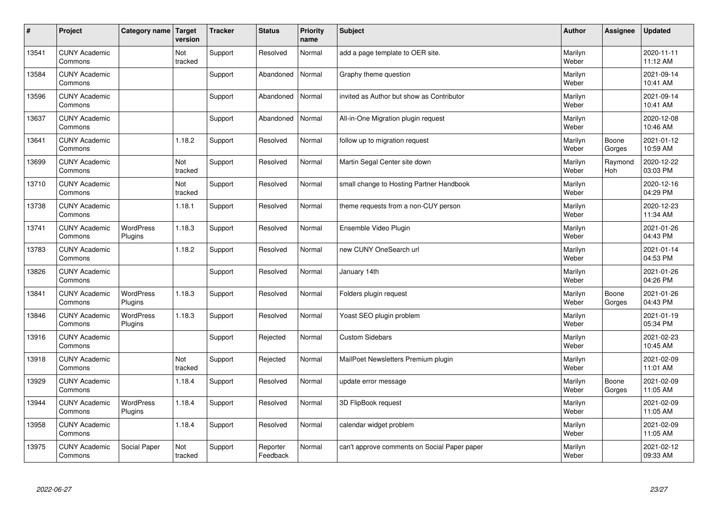| $\sharp$ | Project                         | Category name   Target      | version        | <b>Tracker</b> | <b>Status</b>        | <b>Priority</b><br>name | <b>Subject</b>                               | <b>Author</b>    | Assignee        | <b>Updated</b>         |
|----------|---------------------------------|-----------------------------|----------------|----------------|----------------------|-------------------------|----------------------------------------------|------------------|-----------------|------------------------|
| 13541    | <b>CUNY Academic</b><br>Commons |                             | Not<br>tracked | Support        | Resolved             | Normal                  | add a page template to OER site.             | Marilyn<br>Weber |                 | 2020-11-11<br>11:12 AM |
| 13584    | <b>CUNY Academic</b><br>Commons |                             |                | Support        | Abandoned            | Normal                  | Graphy theme question                        | Marilyn<br>Weber |                 | 2021-09-14<br>10:41 AM |
| 13596    | <b>CUNY Academic</b><br>Commons |                             |                | Support        | Abandoned            | Normal                  | invited as Author but show as Contributor    | Marilyn<br>Weber |                 | 2021-09-14<br>10:41 AM |
| 13637    | <b>CUNY Academic</b><br>Commons |                             |                | Support        | Abandoned            | Normal                  | All-in-One Migration plugin request          | Marilyn<br>Weber |                 | 2020-12-08<br>10:46 AM |
| 13641    | <b>CUNY Academic</b><br>Commons |                             | 1.18.2         | Support        | Resolved             | Normal                  | follow up to migration request               | Marilyn<br>Weber | Boone<br>Gorges | 2021-01-12<br>10:59 AM |
| 13699    | <b>CUNY Academic</b><br>Commons |                             | Not<br>tracked | Support        | Resolved             | Normal                  | Martin Segal Center site down                | Marilyn<br>Weber | Raymond<br>Hoh  | 2020-12-22<br>03:03 PM |
| 13710    | <b>CUNY Academic</b><br>Commons |                             | Not<br>tracked | Support        | Resolved             | Normal                  | small change to Hosting Partner Handbook     | Marilyn<br>Weber |                 | 2020-12-16<br>04:29 PM |
| 13738    | <b>CUNY Academic</b><br>Commons |                             | 1.18.1         | Support        | Resolved             | Normal                  | theme requests from a non-CUY person         | Marilyn<br>Weber |                 | 2020-12-23<br>11:34 AM |
| 13741    | <b>CUNY Academic</b><br>Commons | <b>WordPress</b><br>Plugins | 1.18.3         | Support        | Resolved             | Normal                  | Ensemble Video Plugin                        | Marilyn<br>Weber |                 | 2021-01-26<br>04:43 PM |
| 13783    | <b>CUNY Academic</b><br>Commons |                             | 1.18.2         | Support        | Resolved             | Normal                  | new CUNY OneSearch url                       | Marilyn<br>Weber |                 | 2021-01-14<br>04:53 PM |
| 13826    | <b>CUNY Academic</b><br>Commons |                             |                | Support        | Resolved             | Normal                  | January 14th                                 | Marilyn<br>Weber |                 | 2021-01-26<br>04:26 PM |
| 13841    | <b>CUNY Academic</b><br>Commons | <b>WordPress</b><br>Plugins | 1.18.3         | Support        | Resolved             | Normal                  | Folders plugin request                       | Marilyn<br>Weber | Boone<br>Gorges | 2021-01-26<br>04:43 PM |
| 13846    | <b>CUNY Academic</b><br>Commons | <b>WordPress</b><br>Plugins | 1.18.3         | Support        | Resolved             | Normal                  | Yoast SEO plugin problem                     | Marilyn<br>Weber |                 | 2021-01-19<br>05:34 PM |
| 13916    | <b>CUNY Academic</b><br>Commons |                             |                | Support        | Rejected             | Normal                  | <b>Custom Sidebars</b>                       | Marilyn<br>Weber |                 | 2021-02-23<br>10:45 AM |
| 13918    | <b>CUNY Academic</b><br>Commons |                             | Not<br>tracked | Support        | Rejected             | Normal                  | MailPoet Newsletters Premium plugin          | Marilyn<br>Weber |                 | 2021-02-09<br>11:01 AM |
| 13929    | <b>CUNY Academic</b><br>Commons |                             | 1.18.4         | Support        | Resolved             | Normal                  | update error message                         | Marilyn<br>Weber | Boone<br>Gorges | 2021-02-09<br>11:05 AM |
| 13944    | <b>CUNY Academic</b><br>Commons | WordPress<br>Plugins        | 1.18.4         | Support        | Resolved             | Normal                  | 3D FlipBook request                          | Marilyn<br>Weber |                 | 2021-02-09<br>11:05 AM |
| 13958    | <b>CUNY Academic</b><br>Commons |                             | 1.18.4         | Support        | Resolved             | Normal                  | calendar widget problem                      | Marilyn<br>Weber |                 | 2021-02-09<br>11:05 AM |
| 13975    | <b>CUNY Academic</b><br>Commons | Social Paper                | Not<br>tracked | Support        | Reporter<br>Feedback | Normal                  | can't approve comments on Social Paper paper | Marilyn<br>Weber |                 | 2021-02-12<br>09:33 AM |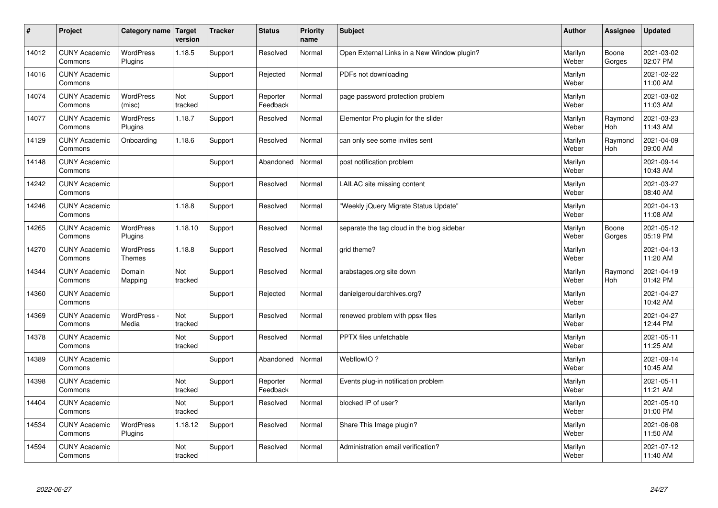| #     | Project                         | Category name   Target      | version        | <b>Tracker</b> | <b>Status</b>        | <b>Priority</b><br>name | <b>Subject</b>                              | <b>Author</b>    | Assignee              | Updated                |
|-------|---------------------------------|-----------------------------|----------------|----------------|----------------------|-------------------------|---------------------------------------------|------------------|-----------------------|------------------------|
| 14012 | <b>CUNY Academic</b><br>Commons | <b>WordPress</b><br>Plugins | 1.18.5         | Support        | Resolved             | Normal                  | Open External Links in a New Window plugin? | Marilyn<br>Weber | Boone<br>Gorges       | 2021-03-02<br>02:07 PM |
| 14016 | <b>CUNY Academic</b><br>Commons |                             |                | Support        | Rejected             | Normal                  | PDFs not downloading                        | Marilyn<br>Weber |                       | 2021-02-22<br>11:00 AM |
| 14074 | <b>CUNY Academic</b><br>Commons | <b>WordPress</b><br>(misc)  | Not<br>tracked | Support        | Reporter<br>Feedback | Normal                  | page password protection problem            | Marilyn<br>Weber |                       | 2021-03-02<br>11:03 AM |
| 14077 | <b>CUNY Academic</b><br>Commons | <b>WordPress</b><br>Plugins | 1.18.7         | Support        | Resolved             | Normal                  | Elementor Pro plugin for the slider         | Marilyn<br>Weber | Raymond<br><b>Hoh</b> | 2021-03-23<br>11:43 AM |
| 14129 | <b>CUNY Academic</b><br>Commons | Onboarding                  | 1.18.6         | Support        | Resolved             | Normal                  | can only see some invites sent              | Marilyn<br>Weber | Raymond<br>Hoh        | 2021-04-09<br>09:00 AM |
| 14148 | <b>CUNY Academic</b><br>Commons |                             |                | Support        | Abandoned            | Normal                  | post notification problem                   | Marilyn<br>Weber |                       | 2021-09-14<br>10:43 AM |
| 14242 | <b>CUNY Academic</b><br>Commons |                             |                | Support        | Resolved             | Normal                  | LAILAC site missing content                 | Marilyn<br>Weber |                       | 2021-03-27<br>08:40 AM |
| 14246 | <b>CUNY Academic</b><br>Commons |                             | 1.18.8         | Support        | Resolved             | Normal                  | 'Weekly jQuery Migrate Status Update"       | Marilyn<br>Weber |                       | 2021-04-13<br>11:08 AM |
| 14265 | <b>CUNY Academic</b><br>Commons | <b>WordPress</b><br>Plugins | 1.18.10        | Support        | Resolved             | Normal                  | separate the tag cloud in the blog sidebar  | Marilyn<br>Weber | Boone<br>Gorges       | 2021-05-12<br>05:19 PM |
| 14270 | <b>CUNY Academic</b><br>Commons | WordPress<br><b>Themes</b>  | 1.18.8         | Support        | Resolved             | Normal                  | grid theme?                                 | Marilyn<br>Weber |                       | 2021-04-13<br>11:20 AM |
| 14344 | <b>CUNY Academic</b><br>Commons | Domain<br>Mapping           | Not<br>tracked | Support        | Resolved             | Normal                  | arabstages.org site down                    | Marilyn<br>Weber | Raymond<br>Hoh        | 2021-04-19<br>01:42 PM |
| 14360 | <b>CUNY Academic</b><br>Commons |                             |                | Support        | Rejected             | Normal                  | danielgerouldarchives.org?                  | Marilyn<br>Weber |                       | 2021-04-27<br>10:42 AM |
| 14369 | <b>CUNY Academic</b><br>Commons | WordPress -<br>Media        | Not<br>tracked | Support        | Resolved             | Normal                  | renewed problem with ppsx files             | Marilyn<br>Weber |                       | 2021-04-27<br>12:44 PM |
| 14378 | <b>CUNY Academic</b><br>Commons |                             | Not<br>tracked | Support        | Resolved             | Normal                  | PPTX files unfetchable                      | Marilyn<br>Weber |                       | 2021-05-11<br>11:25 AM |
| 14389 | <b>CUNY Academic</b><br>Commons |                             |                | Support        | Abandoned            | Normal                  | WebflowIO?                                  | Marilyn<br>Weber |                       | 2021-09-14<br>10:45 AM |
| 14398 | <b>CUNY Academic</b><br>Commons |                             | Not<br>tracked | Support        | Reporter<br>Feedback | Normal                  | Events plug-in notification problem         | Marilyn<br>Weber |                       | 2021-05-11<br>11:21 AM |
| 14404 | <b>CUNY Academic</b><br>Commons |                             | Not<br>tracked | Support        | Resolved             | Normal                  | blocked IP of user?                         | Marilyn<br>Weber |                       | 2021-05-10<br>01:00 PM |
| 14534 | <b>CUNY Academic</b><br>Commons | <b>WordPress</b><br>Plugins | 1.18.12        | Support        | Resolved             | Normal                  | Share This Image plugin?                    | Marilyn<br>Weber |                       | 2021-06-08<br>11:50 AM |
| 14594 | <b>CUNY Academic</b><br>Commons |                             | Not<br>tracked | Support        | Resolved             | Normal                  | Administration email verification?          | Marilyn<br>Weber |                       | 2021-07-12<br>11:40 AM |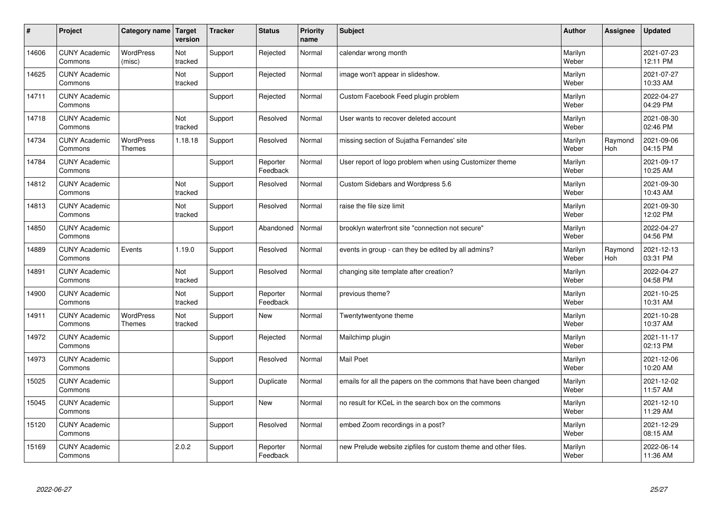| #     | Project                         | Category name                     | Target<br>version | <b>Tracker</b> | <b>Status</b>        | <b>Priority</b><br>name | <b>Subject</b>                                                  | <b>Author</b>    | Assignee       | <b>Updated</b>         |
|-------|---------------------------------|-----------------------------------|-------------------|----------------|----------------------|-------------------------|-----------------------------------------------------------------|------------------|----------------|------------------------|
| 14606 | <b>CUNY Academic</b><br>Commons | <b>WordPress</b><br>(misc)        | Not<br>tracked    | Support        | Rejected             | Normal                  | calendar wrong month                                            | Marilyn<br>Weber |                | 2021-07-23<br>12:11 PM |
| 14625 | <b>CUNY Academic</b><br>Commons |                                   | Not<br>tracked    | Support        | Rejected             | Normal                  | image won't appear in slideshow.                                | Marilyn<br>Weber |                | 2021-07-27<br>10:33 AM |
| 14711 | <b>CUNY Academic</b><br>Commons |                                   |                   | Support        | Rejected             | Normal                  | Custom Facebook Feed plugin problem                             | Marilyn<br>Weber |                | 2022-04-27<br>04:29 PM |
| 14718 | <b>CUNY Academic</b><br>Commons |                                   | Not<br>tracked    | Support        | Resolved             | Normal                  | User wants to recover deleted account                           | Marilyn<br>Weber |                | 2021-08-30<br>02:46 PM |
| 14734 | <b>CUNY Academic</b><br>Commons | <b>WordPress</b><br><b>Themes</b> | 1.18.18           | Support        | Resolved             | Normal                  | missing section of Sujatha Fernandes' site                      | Marilyn<br>Weber | Raymond<br>Hoh | 2021-09-06<br>04:15 PM |
| 14784 | <b>CUNY Academic</b><br>Commons |                                   |                   | Support        | Reporter<br>Feedback | Normal                  | User report of logo problem when using Customizer theme         | Marilyn<br>Weber |                | 2021-09-17<br>10:25 AM |
| 14812 | <b>CUNY Academic</b><br>Commons |                                   | Not<br>tracked    | Support        | Resolved             | Normal                  | Custom Sidebars and Wordpress 5.6                               | Marilyn<br>Weber |                | 2021-09-30<br>10:43 AM |
| 14813 | <b>CUNY Academic</b><br>Commons |                                   | Not<br>tracked    | Support        | Resolved             | Normal                  | raise the file size limit                                       | Marilyn<br>Weber |                | 2021-09-30<br>12:02 PM |
| 14850 | <b>CUNY Academic</b><br>Commons |                                   |                   | Support        | Abandoned            | Normal                  | brooklyn waterfront site "connection not secure"                | Marilyn<br>Weber |                | 2022-04-27<br>04:56 PM |
| 14889 | <b>CUNY Academic</b><br>Commons | Events                            | 1.19.0            | Support        | Resolved             | Normal                  | events in group - can they be edited by all admins?             | Marilyn<br>Weber | Raymond<br>Hoh | 2021-12-13<br>03:31 PM |
| 14891 | <b>CUNY Academic</b><br>Commons |                                   | Not<br>tracked    | Support        | Resolved             | Normal                  | changing site template after creation?                          | Marilyn<br>Weber |                | 2022-04-27<br>04:58 PM |
| 14900 | <b>CUNY Academic</b><br>Commons |                                   | Not<br>tracked    | Support        | Reporter<br>Feedback | Normal                  | previous theme?                                                 | Marilyn<br>Weber |                | 2021-10-25<br>10:31 AM |
| 14911 | <b>CUNY Academic</b><br>Commons | <b>WordPress</b><br>Themes        | Not<br>tracked    | Support        | New                  | Normal                  | Twentytwentyone theme                                           | Marilyn<br>Weber |                | 2021-10-28<br>10:37 AM |
| 14972 | <b>CUNY Academic</b><br>Commons |                                   |                   | Support        | Rejected             | Normal                  | Mailchimp plugin                                                | Marilyn<br>Weber |                | 2021-11-17<br>02:13 PM |
| 14973 | <b>CUNY Academic</b><br>Commons |                                   |                   | Support        | Resolved             | Normal                  | Mail Poet                                                       | Marilyn<br>Weber |                | 2021-12-06<br>10:20 AM |
| 15025 | <b>CUNY Academic</b><br>Commons |                                   |                   | Support        | Duplicate            | Normal                  | emails for all the papers on the commons that have been changed | Marilyn<br>Weber |                | 2021-12-02<br>11:57 AM |
| 15045 | <b>CUNY Academic</b><br>Commons |                                   |                   | Support        | New                  | Normal                  | no result for KCeL in the search box on the commons             | Marilyn<br>Weber |                | 2021-12-10<br>11:29 AM |
| 15120 | <b>CUNY Academic</b><br>Commons |                                   |                   | Support        | Resolved             | Normal                  | embed Zoom recordings in a post?                                | Marilyn<br>Weber |                | 2021-12-29<br>08:15 AM |
| 15169 | <b>CUNY Academic</b><br>Commons |                                   | 2.0.2             | Support        | Reporter<br>Feedback | Normal                  | new Prelude website zipfiles for custom theme and other files.  | Marilyn<br>Weber |                | 2022-06-14<br>11:36 AM |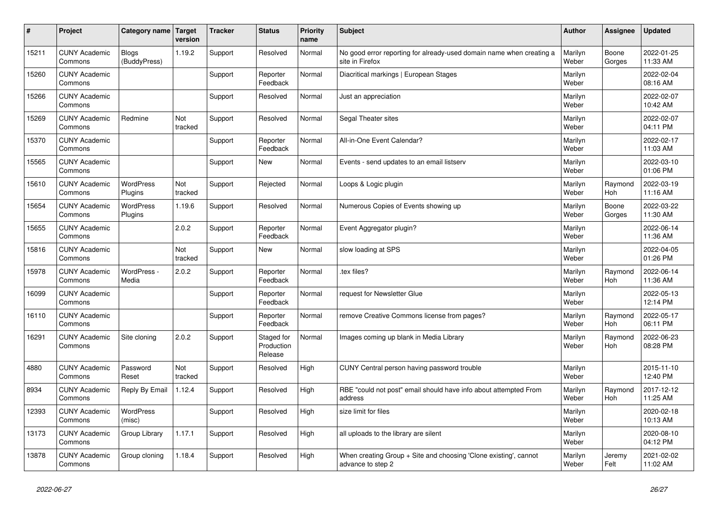| $\vert$ # | Project                         | Category name   Target       | version        | <b>Tracker</b> | <b>Status</b>                       | <b>Priority</b><br>name | <b>Subject</b>                                                                          | <b>Author</b>    | Assignee              | Updated                |
|-----------|---------------------------------|------------------------------|----------------|----------------|-------------------------------------|-------------------------|-----------------------------------------------------------------------------------------|------------------|-----------------------|------------------------|
| 15211     | <b>CUNY Academic</b><br>Commons | <b>Blogs</b><br>(BuddyPress) | 1.19.2         | Support        | Resolved                            | Normal                  | No good error reporting for already-used domain name when creating a<br>site in Firefox | Marilyn<br>Weber | Boone<br>Gorges       | 2022-01-25<br>11:33 AM |
| 15260     | <b>CUNY Academic</b><br>Commons |                              |                | Support        | Reporter<br>Feedback                | Normal                  | Diacritical markings   European Stages                                                  | Marilyn<br>Weber |                       | 2022-02-04<br>08:16 AM |
| 15266     | <b>CUNY Academic</b><br>Commons |                              |                | Support        | Resolved                            | Normal                  | Just an appreciation                                                                    | Marilyn<br>Weber |                       | 2022-02-07<br>10:42 AM |
| 15269     | <b>CUNY Academic</b><br>Commons | Redmine                      | Not<br>tracked | Support        | Resolved                            | Normal                  | Segal Theater sites                                                                     | Marilyn<br>Weber |                       | 2022-02-07<br>04:11 PM |
| 15370     | <b>CUNY Academic</b><br>Commons |                              |                | Support        | Reporter<br>Feedback                | Normal                  | All-in-One Event Calendar?                                                              | Marilyn<br>Weber |                       | 2022-02-17<br>11:03 AM |
| 15565     | <b>CUNY Academic</b><br>Commons |                              |                | Support        | <b>New</b>                          | Normal                  | Events - send updates to an email listserv                                              | Marilyn<br>Weber |                       | 2022-03-10<br>01:06 PM |
| 15610     | <b>CUNY Academic</b><br>Commons | <b>WordPress</b><br>Plugins  | Not<br>tracked | Support        | Rejected                            | Normal                  | Loops & Logic plugin                                                                    | Marilyn<br>Weber | Raymond<br>Hoh        | 2022-03-19<br>11:16 AM |
| 15654     | <b>CUNY Academic</b><br>Commons | WordPress<br>Plugins         | 1.19.6         | Support        | Resolved                            | Normal                  | Numerous Copies of Events showing up                                                    | Marilyn<br>Weber | Boone<br>Gorges       | 2022-03-22<br>11:30 AM |
| 15655     | <b>CUNY Academic</b><br>Commons |                              | 2.0.2          | Support        | Reporter<br>Feedback                | Normal                  | Event Aggregator plugin?                                                                | Marilyn<br>Weber |                       | 2022-06-14<br>11:36 AM |
| 15816     | <b>CUNY Academic</b><br>Commons |                              | Not<br>tracked | Support        | <b>New</b>                          | Normal                  | slow loading at SPS                                                                     | Marilyn<br>Weber |                       | 2022-04-05<br>01:26 PM |
| 15978     | <b>CUNY Academic</b><br>Commons | WordPress -<br>Media         | 2.0.2          | Support        | Reporter<br>Feedback                | Normal                  | tex files?                                                                              | Marilyn<br>Weber | Raymond<br>Hoh        | 2022-06-14<br>11:36 AM |
| 16099     | <b>CUNY Academic</b><br>Commons |                              |                | Support        | Reporter<br>Feedback                | Normal                  | request for Newsletter Glue                                                             | Marilyn<br>Weber |                       | 2022-05-13<br>12:14 PM |
| 16110     | <b>CUNY Academic</b><br>Commons |                              |                | Support        | Reporter<br>Feedback                | Normal                  | remove Creative Commons license from pages?                                             | Marilyn<br>Weber | Raymond<br>Hoh        | 2022-05-17<br>06:11 PM |
| 16291     | <b>CUNY Academic</b><br>Commons | Site cloning                 | 2.0.2          | Support        | Staged for<br>Production<br>Release | Normal                  | Images coming up blank in Media Library                                                 | Marilyn<br>Weber | Raymond<br>Hoh        | 2022-06-23<br>08:28 PM |
| 4880      | <b>CUNY Academic</b><br>Commons | Password<br>Reset            | Not<br>tracked | Support        | Resolved                            | High                    | CUNY Central person having password trouble                                             | Marilyn<br>Weber |                       | 2015-11-10<br>12:40 PM |
| 8934      | <b>CUNY Academic</b><br>Commons | Reply By Email               | 1.12.4         | Support        | Resolved                            | High                    | RBE "could not post" email should have info about attempted From<br>address             | Marilyn<br>Weber | Raymond<br><b>Hoh</b> | 2017-12-12<br>11:25 AM |
| 12393     | <b>CUNY Academic</b><br>Commons | WordPress<br>(misc)          |                | Support        | Resolved                            | High                    | size limit for files                                                                    | Marilyn<br>Weber |                       | 2020-02-18<br>10:13 AM |
| 13173     | <b>CUNY Academic</b><br>Commons | Group Library                | 1.17.1         | Support        | Resolved                            | High                    | all uploads to the library are silent                                                   | Marilyn<br>Weber |                       | 2020-08-10<br>04:12 PM |
| 13878     | <b>CUNY Academic</b><br>Commons | Group cloning                | 1.18.4         | Support        | Resolved                            | High                    | When creating Group + Site and choosing 'Clone existing', cannot<br>advance to step 2   | Marilyn<br>Weber | Jeremy<br>Felt        | 2021-02-02<br>11:02 AM |